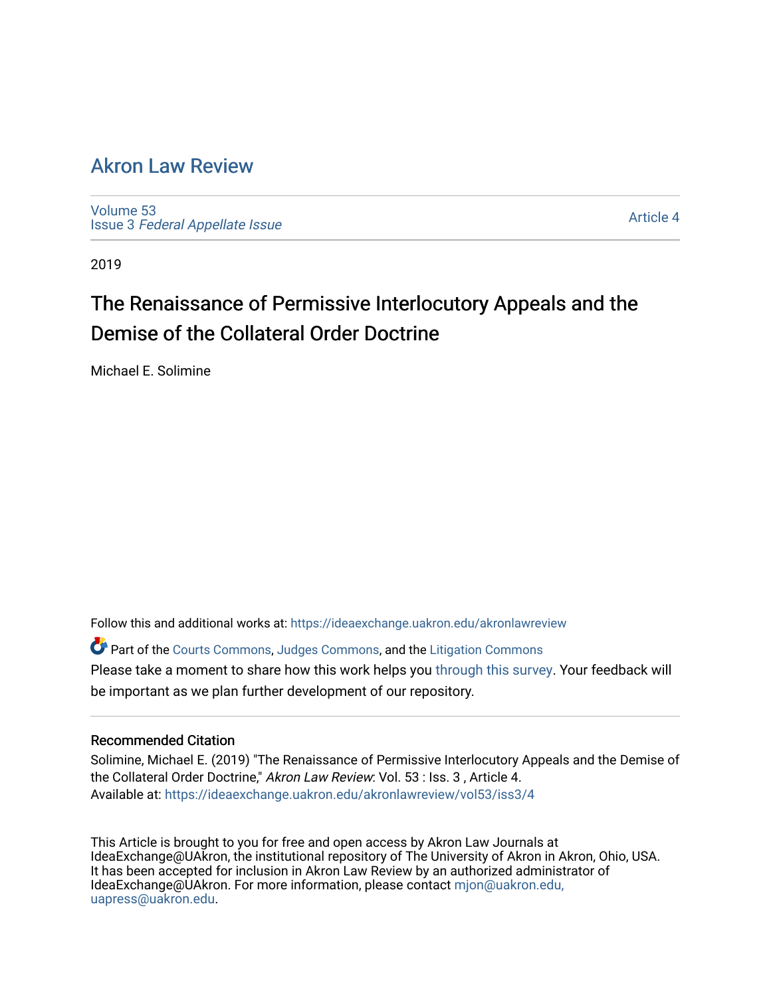# [Akron Law Review](https://ideaexchange.uakron.edu/akronlawreview)

[Volume 53](https://ideaexchange.uakron.edu/akronlawreview/vol53) Issue 3 [Federal Appellate Issue](https://ideaexchange.uakron.edu/akronlawreview/vol53/iss3) 

[Article 4](https://ideaexchange.uakron.edu/akronlawreview/vol53/iss3/4) 

2019

# The Renaissance of Permissive Interlocutory Appeals and the Demise of the Collateral Order Doctrine

Michael E. Solimine

Follow this and additional works at: [https://ideaexchange.uakron.edu/akronlawreview](https://ideaexchange.uakron.edu/akronlawreview?utm_source=ideaexchange.uakron.edu%2Fakronlawreview%2Fvol53%2Fiss3%2F4&utm_medium=PDF&utm_campaign=PDFCoverPages)

Part of the [Courts Commons,](http://network.bepress.com/hgg/discipline/839?utm_source=ideaexchange.uakron.edu%2Fakronlawreview%2Fvol53%2Fiss3%2F4&utm_medium=PDF&utm_campaign=PDFCoverPages) [Judges Commons](http://network.bepress.com/hgg/discipline/849?utm_source=ideaexchange.uakron.edu%2Fakronlawreview%2Fvol53%2Fiss3%2F4&utm_medium=PDF&utm_campaign=PDFCoverPages), and the [Litigation Commons](http://network.bepress.com/hgg/discipline/910?utm_source=ideaexchange.uakron.edu%2Fakronlawreview%2Fvol53%2Fiss3%2F4&utm_medium=PDF&utm_campaign=PDFCoverPages) Please take a moment to share how this work helps you [through this survey](http://survey.az1.qualtrics.com/SE/?SID=SV_eEVH54oiCbOw05f&URL=https://ideaexchange.uakron.edu/akronlawreview/vol53/iss3/4). Your feedback will be important as we plan further development of our repository.

# Recommended Citation

Solimine, Michael E. (2019) "The Renaissance of Permissive Interlocutory Appeals and the Demise of the Collateral Order Doctrine," Akron Law Review: Vol. 53 : Iss. 3, Article 4. Available at: [https://ideaexchange.uakron.edu/akronlawreview/vol53/iss3/4](https://ideaexchange.uakron.edu/akronlawreview/vol53/iss3/4?utm_source=ideaexchange.uakron.edu%2Fakronlawreview%2Fvol53%2Fiss3%2F4&utm_medium=PDF&utm_campaign=PDFCoverPages) 

This Article is brought to you for free and open access by Akron Law Journals at IdeaExchange@UAkron, the institutional repository of The University of Akron in Akron, Ohio, USA. It has been accepted for inclusion in Akron Law Review by an authorized administrator of IdeaExchange@UAkron. For more information, please contact [mjon@uakron.edu,](mailto:mjon@uakron.edu,%20uapress@uakron.edu) [uapress@uakron.edu.](mailto:mjon@uakron.edu,%20uapress@uakron.edu)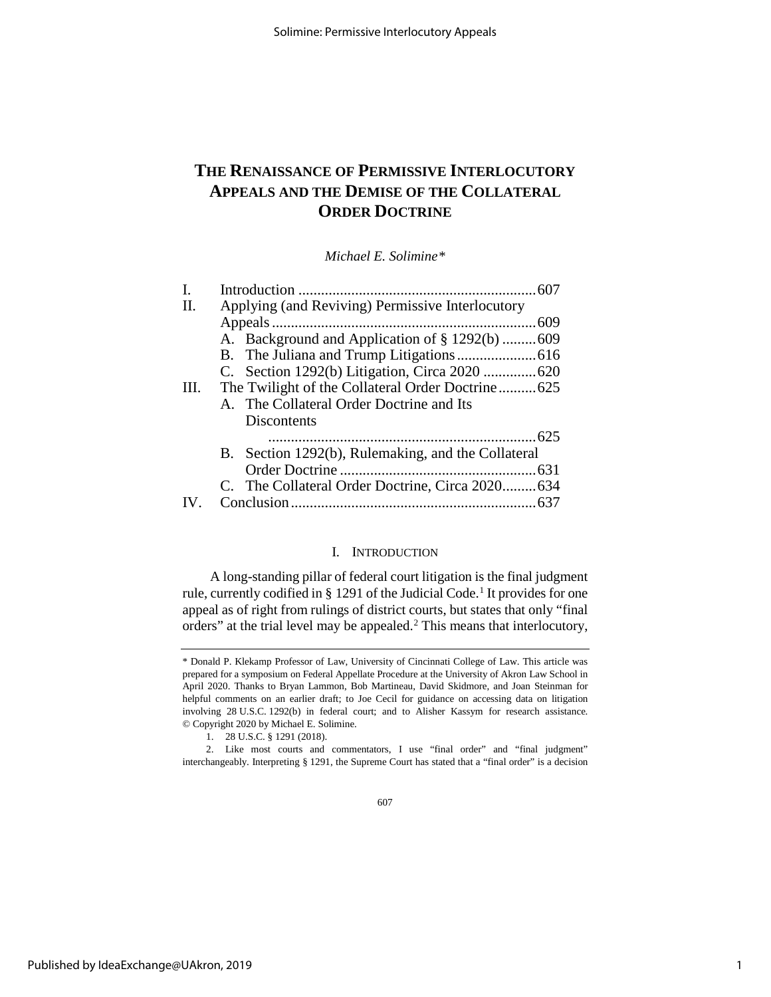# **THE RENAISSANCE OF PERMISSIVE INTERLOCUTORY APPEALS AND THE DEMISE OF THE COLLATERAL ORDER DOCTRINE**

*Michael E. Solimine[\\*](#page-1-0)*

| Ι.             |                                                    |  |  |  |  |  |  |
|----------------|----------------------------------------------------|--|--|--|--|--|--|
| $\mathbf{H}$ . | Applying (and Reviving) Permissive Interlocutory   |  |  |  |  |  |  |
|                |                                                    |  |  |  |  |  |  |
|                |                                                    |  |  |  |  |  |  |
|                |                                                    |  |  |  |  |  |  |
|                |                                                    |  |  |  |  |  |  |
| Ш.             |                                                    |  |  |  |  |  |  |
|                | A. The Collateral Order Doctrine and Its           |  |  |  |  |  |  |
|                | Discontents                                        |  |  |  |  |  |  |
|                |                                                    |  |  |  |  |  |  |
|                | B. Section 1292(b), Rulemaking, and the Collateral |  |  |  |  |  |  |
|                |                                                    |  |  |  |  |  |  |
|                | C. The Collateral Order Doctrine, Circa 2020634    |  |  |  |  |  |  |
|                |                                                    |  |  |  |  |  |  |
|                |                                                    |  |  |  |  |  |  |

# I. INTRODUCTION

A long-standing pillar of federal court litigation is the final judgment rule, currently codified in § [1](#page-1-1)291 of the Judicial Code.<sup>1</sup> It provides for one appeal as of right from rulings of district courts, but states that only "final orders" at the trial level may be appealed.<sup>[2](#page-1-2)</sup> This means that interlocutory,

<span id="page-1-0"></span><sup>\*</sup> Donald P. Klekamp Professor of Law, University of Cincinnati College of Law. This article was prepared for a symposium on Federal Appellate Procedure at the University of Akron Law School in April 2020. Thanks to Bryan Lammon, Bob Martineau, David Skidmore, and Joan Steinman for helpful comments on an earlier draft; to Joe Cecil for guidance on accessing data on litigation involving 28 U.S.C. 1292(b) in federal court; and to Alisher Kassym for research assistance. © Copyright 2020 by Michael E. Solimine.

<sup>1.</sup> 28 U.S.C. § 1291 (2018).

<span id="page-1-2"></span><span id="page-1-1"></span><sup>2.</sup> Like most courts and commentators, I use "final order" and "final judgment" interchangeably. Interpreting § 1291, the Supreme Court has stated that a "final order" is a decision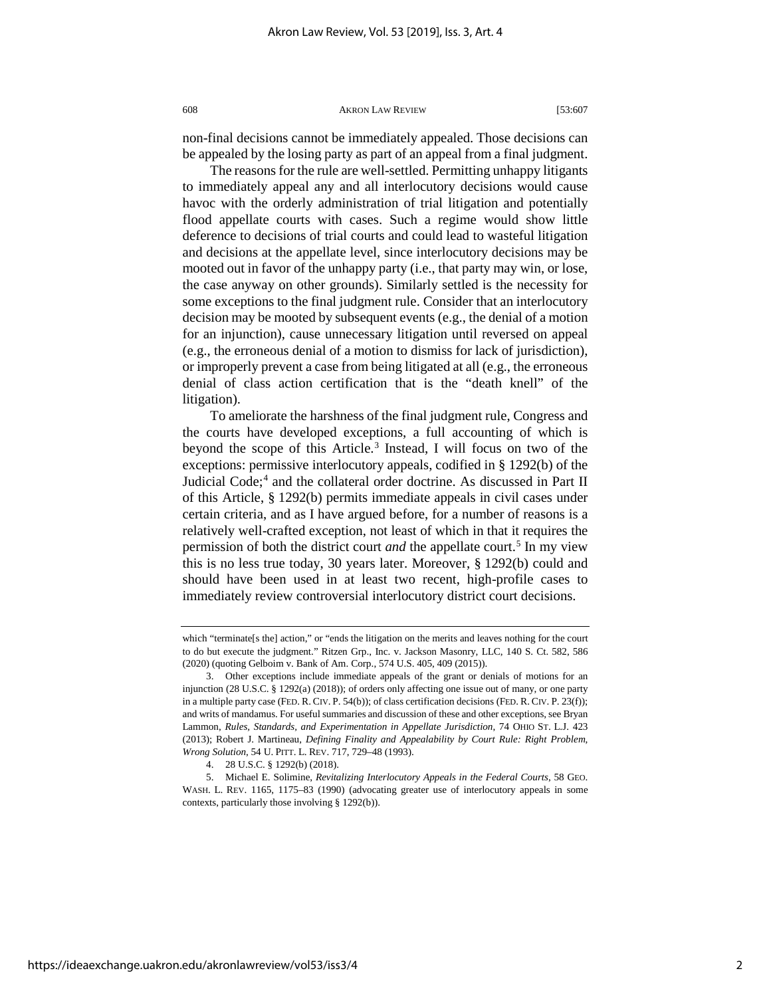non-final decisions cannot be immediately appealed. Those decisions can be appealed by the losing party as part of an appeal from a final judgment.

The reasons for the rule are well-settled. Permitting unhappy litigants to immediately appeal any and all interlocutory decisions would cause havoc with the orderly administration of trial litigation and potentially flood appellate courts with cases. Such a regime would show little deference to decisions of trial courts and could lead to wasteful litigation and decisions at the appellate level, since interlocutory decisions may be mooted out in favor of the unhappy party (i.e., that party may win, or lose, the case anyway on other grounds). Similarly settled is the necessity for some exceptions to the final judgment rule. Consider that an interlocutory decision may be mooted by subsequent events (e.g., the denial of a motion for an injunction), cause unnecessary litigation until reversed on appeal (e.g., the erroneous denial of a motion to dismiss for lack of jurisdiction), or improperly prevent a case from being litigated at all (e.g., the erroneous denial of class action certification that is the "death knell" of the litigation).

To ameliorate the harshness of the final judgment rule, Congress and the courts have developed exceptions, a full accounting of which is beyond the scope of this Article.<sup>[3](#page-2-0)</sup> Instead, I will focus on two of the exceptions: permissive interlocutory appeals, codified in § 1292(b) of the Judicial Code;<sup>[4](#page-2-1)</sup> and the collateral order doctrine. As discussed in Part II of this Article, § 1292(b) permits immediate appeals in civil cases under certain criteria, and as I have argued before, for a number of reasons is a relatively well-crafted exception, not least of which in that it requires the permission of both the district court *and* the appellate court.<sup>[5](#page-2-2)</sup> In my view this is no less true today, 30 years later. Moreover, § 1292(b) could and should have been used in at least two recent, high-profile cases to immediately review controversial interlocutory district court decisions.

which "terminate[s the] action," or "ends the litigation on the merits and leaves nothing for the court to do but execute the judgment." Ritzen Grp., Inc. v. Jackson Masonry, LLC, 140 S. Ct. 582, 586 (2020) (quoting Gelboim v. Bank of Am. Corp., 574 U.S. 405, 409 (2015)).

<span id="page-2-0"></span><sup>3.</sup> Other exceptions include immediate appeals of the grant or denials of motions for an injunction (28 U.S.C. § 1292(a) (2018)); of orders only affecting one issue out of many, or one party in a multiple party case (FED. R. CIV. P. 54(b)); of class certification decisions (FED. R. CIV. P. 23(f)); and writs of mandamus. For useful summaries and discussion of these and other exceptions, see Bryan Lammon, *Rules, Standards, and Experimentation in Appellate Jurisdiction*, 74 OHIO ST. L.J. 423 (2013); Robert J. Martineau, *Defining Finality and Appealability by Court Rule: Right Problem, Wrong Solution*, 54 U. PITT. L. REV. 717, 729–48 (1993).

<sup>4.</sup> 28 U.S.C. § 1292(b) (2018).

<span id="page-2-2"></span><span id="page-2-1"></span><sup>5.</sup> Michael E. Solimine, *Revitalizing Interlocutory Appeals in the Federal Courts*, 58 GEO. WASH. L. REV. 1165, 1175–83 (1990) (advocating greater use of interlocutory appeals in some contexts, particularly those involving § 1292(b)).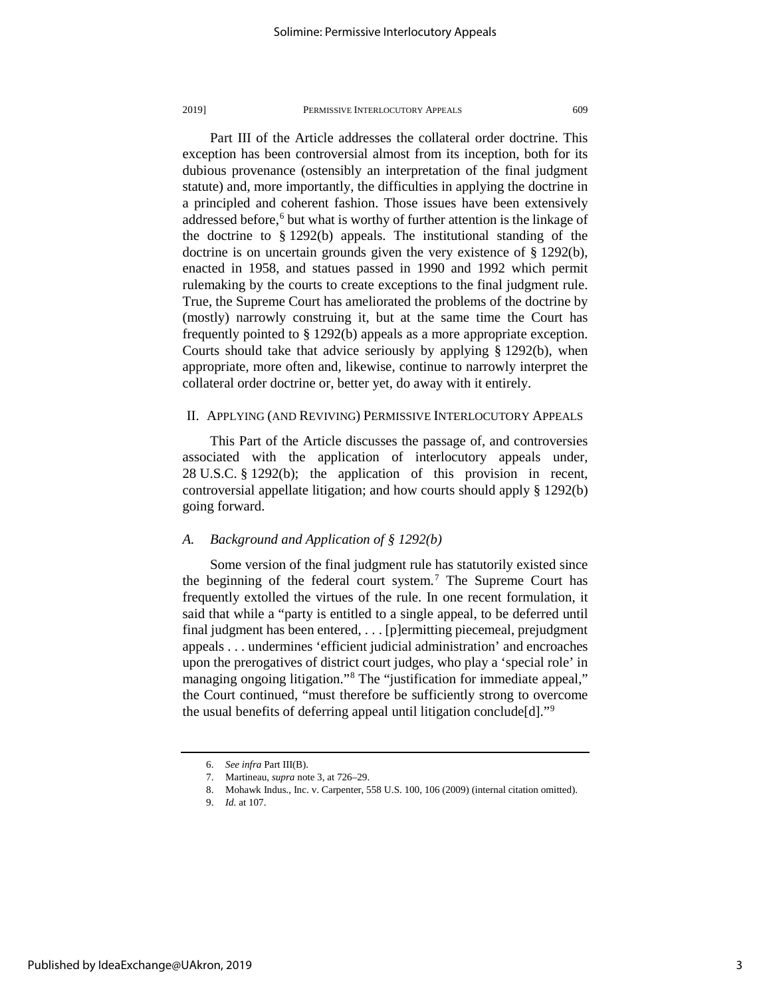Part III of the Article addresses the collateral order doctrine. This exception has been controversial almost from its inception, both for its dubious provenance (ostensibly an interpretation of the final judgment statute) and, more importantly, the difficulties in applying the doctrine in a principled and coherent fashion. Those issues have been extensively addressed before, $6$  but what is worthy of further attention is the linkage of the doctrine to § 1292(b) appeals. The institutional standing of the doctrine is on uncertain grounds given the very existence of § 1292(b), enacted in 1958, and statues passed in 1990 and 1992 which permit rulemaking by the courts to create exceptions to the final judgment rule. True, the Supreme Court has ameliorated the problems of the doctrine by (mostly) narrowly construing it, but at the same time the Court has frequently pointed to § 1292(b) appeals as a more appropriate exception. Courts should take that advice seriously by applying § 1292(b), when appropriate, more often and, likewise, continue to narrowly interpret the collateral order doctrine or, better yet, do away with it entirely.

# II. APPLYING (AND REVIVING) PERMISSIVE INTERLOCUTORY APPEALS

This Part of the Article discusses the passage of, and controversies associated with the application of interlocutory appeals under, 28 U.S.C. § 1292(b); the application of this provision in recent, controversial appellate litigation; and how courts should apply § 1292(b) going forward.

# *A. Background and Application of § 1292(b)*

Some version of the final judgment rule has statutorily existed since the beginning of the federal court system.<sup>[7](#page-3-1)</sup> The Supreme Court has frequently extolled the virtues of the rule. In one recent formulation, it said that while a "party is entitled to a single appeal, to be deferred until final judgment has been entered, . . . [p]ermitting piecemeal, prejudgment appeals . . . undermines 'efficient judicial administration' and encroaches upon the prerogatives of district court judges, who play a 'special role' in managing ongoing litigation."<sup>[8](#page-3-2)</sup> The "justification for immediate appeal," the Court continued, "must therefore be sufficiently strong to overcome the usual benefits of deferring appeal until litigation conclude[d]."[9](#page-3-3)

<span id="page-3-1"></span><span id="page-3-0"></span><sup>6.</sup> *See infra* Part III(B).

<sup>7.</sup> Martineau, *supra* note 3, at 726–29.

<sup>8.</sup> Mohawk Indus., Inc. v. Carpenter, 558 U.S. 100, 106 (2009) (internal citation omitted).

<span id="page-3-3"></span><span id="page-3-2"></span><sup>9.</sup> *Id.* at 107.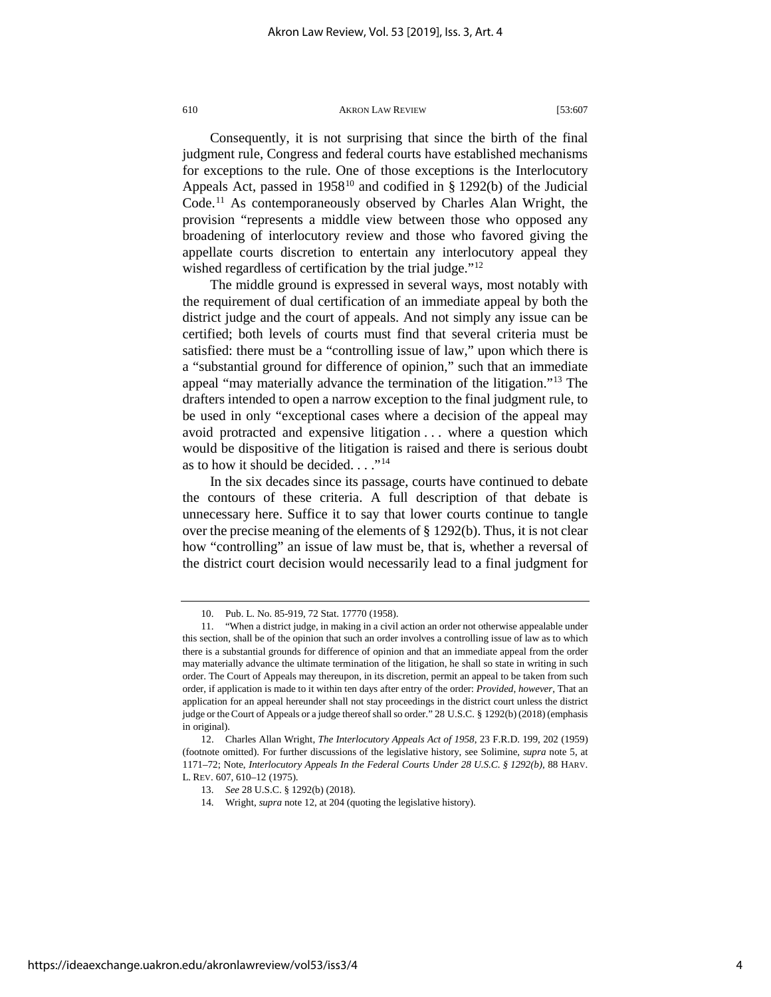Consequently, it is not surprising that since the birth of the final judgment rule, Congress and federal courts have established mechanisms for exceptions to the rule. One of those exceptions is the Interlocutory Appeals Act, passed in 1958<sup>[10](#page-4-0)</sup> and codified in § 1292(b) of the Judicial Code[.11](#page-4-1) As contemporaneously observed by Charles Alan Wright, the provision "represents a middle view between those who opposed any broadening of interlocutory review and those who favored giving the appellate courts discretion to entertain any interlocutory appeal they wished regardless of certification by the trial judge."<sup>[12](#page-4-2)</sup>

The middle ground is expressed in several ways, most notably with the requirement of dual certification of an immediate appeal by both the district judge and the court of appeals. And not simply any issue can be certified; both levels of courts must find that several criteria must be satisfied: there must be a "controlling issue of law," upon which there is a "substantial ground for difference of opinion," such that an immediate appeal "may materially advance the termination of the litigation."[13](#page-4-3) The drafters intended to open a narrow exception to the final judgment rule, to be used in only "exceptional cases where a decision of the appeal may avoid protracted and expensive litigation . . . where a question which would be dispositive of the litigation is raised and there is serious doubt as to how it should be decided.  $\ldots$ <sup>[14](#page-4-4)</sup>

In the six decades since its passage, courts have continued to debate the contours of these criteria. A full description of that debate is unnecessary here. Suffice it to say that lower courts continue to tangle over the precise meaning of the elements of § 1292(b). Thus, it is not clear how "controlling" an issue of law must be, that is, whether a reversal of the district court decision would necessarily lead to a final judgment for

<sup>10.</sup> Pub. L. No. 85-919, 72 Stat. 17770 (1958).

<span id="page-4-1"></span><span id="page-4-0"></span><sup>11. &</sup>quot;When a district judge, in making in a civil action an order not otherwise appealable under this section, shall be of the opinion that such an order involves a controlling issue of law as to which there is a substantial grounds for difference of opinion and that an immediate appeal from the order may materially advance the ultimate termination of the litigation, he shall so state in writing in such order. The Court of Appeals may thereupon, in its discretion, permit an appeal to be taken from such order, if application is made to it within ten days after entry of the order: *Provided*, *however*, That an application for an appeal hereunder shall not stay proceedings in the district court unless the district judge or the Court of Appeals or a judge thereof shall so order." 28 U.S.C. § 1292(b) (2018) (emphasis in original).

<span id="page-4-4"></span><span id="page-4-3"></span><span id="page-4-2"></span><sup>12.</sup> Charles Allan Wright, *The Interlocutory Appeals Act of 1958*, 23 F.R.D. 199, 202 (1959) (footnote omitted). For further discussions of the legislative history, see Solimine, *supra* note 5, at 1171–72; Note, *Interlocutory Appeals In the Federal Courts Under 28 U.S.C. § 1292(b)*, 88 HARV. L. REV. 607, 610–12 (1975).

<sup>13.</sup> *See* 28 U.S.C. § 1292(b) (2018).

<sup>14.</sup> Wright, *supra* note 12, at 204 (quoting the legislative history).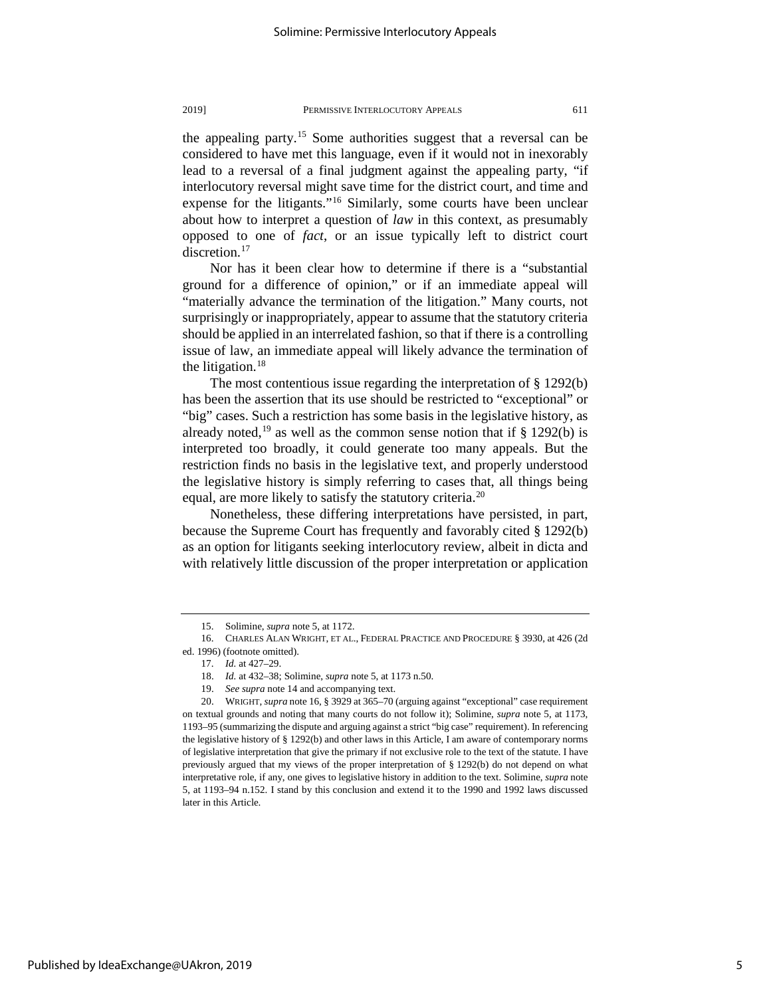the appealing party.[15](#page-5-0) Some authorities suggest that a reversal can be considered to have met this language, even if it would not in inexorably lead to a reversal of a final judgment against the appealing party, "if interlocutory reversal might save time for the district court, and time and expense for the litigants."<sup>[16](#page-5-1)</sup> Similarly, some courts have been unclear about how to interpret a question of *law* in this context, as presumably opposed to one of *fact*, or an issue typically left to district court discretion.<sup>[17](#page-5-2)</sup>

Nor has it been clear how to determine if there is a "substantial ground for a difference of opinion," or if an immediate appeal will "materially advance the termination of the litigation." Many courts, not surprisingly or inappropriately, appear to assume that the statutory criteria should be applied in an interrelated fashion, so that if there is a controlling issue of law, an immediate appeal will likely advance the termination of the litigation. $18$ 

The most contentious issue regarding the interpretation of § 1292(b) has been the assertion that its use should be restricted to "exceptional" or "big" cases. Such a restriction has some basis in the legislative history, as already noted,<sup>[19](#page-5-4)</sup> as well as the common sense notion that if  $\S$  1292(b) is interpreted too broadly, it could generate too many appeals. But the restriction finds no basis in the legislative text, and properly understood the legislative history is simply referring to cases that, all things being equal, are more likely to satisfy the statutory criteria.<sup>[20](#page-5-5)</sup>

Nonetheless, these differing interpretations have persisted, in part, because the Supreme Court has frequently and favorably cited § 1292(b) as an option for litigants seeking interlocutory review, albeit in dicta and with relatively little discussion of the proper interpretation or application

<sup>15.</sup> Solimine, *supra* note 5, at 1172.

<span id="page-5-2"></span><span id="page-5-1"></span><span id="page-5-0"></span><sup>16.</sup> CHARLES ALAN WRIGHT, ET AL., FEDERAL PRACTICE AND PROCEDURE § 3930, at 426 (2d ed. 1996) (footnote omitted).

<sup>17.</sup> *Id.* at 427–29.

<sup>18.</sup> *Id.* at 432–38; Solimine, *supra* note 5, at 1173 n.50.

<sup>19.</sup> *See supra* note 14 and accompanying text.

<span id="page-5-5"></span><span id="page-5-4"></span><span id="page-5-3"></span><sup>20.</sup> WRIGHT, *supra* note 16, § 3929 at 365–70 (arguing against "exceptional" case requirement on textual grounds and noting that many courts do not follow it); Solimine, *supra* note 5, at 1173, 1193–95 (summarizing the dispute and arguing against a strict "big case" requirement). In referencing the legislative history of § 1292(b) and other laws in this Article, I am aware of contemporary norms of legislative interpretation that give the primary if not exclusive role to the text of the statute. I have previously argued that my views of the proper interpretation of § 1292(b) do not depend on what interpretative role, if any, one gives to legislative history in addition to the text. Solimine, *supra* note 5, at 1193–94 n.152. I stand by this conclusion and extend it to the 1990 and 1992 laws discussed later in this Article.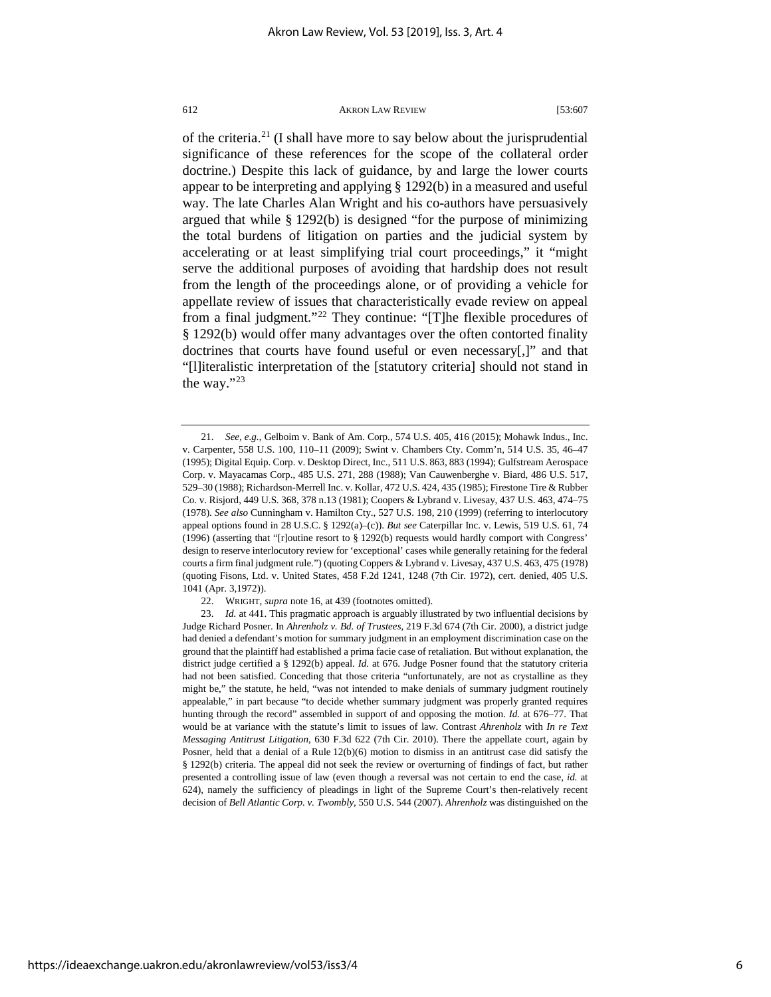of the criteria.[21](#page-6-0) (I shall have more to say below about the jurisprudential significance of these references for the scope of the collateral order doctrine.) Despite this lack of guidance, by and large the lower courts appear to be interpreting and applying § 1292(b) in a measured and useful way. The late Charles Alan Wright and his co-authors have persuasively argued that while § 1292(b) is designed "for the purpose of minimizing the total burdens of litigation on parties and the judicial system by accelerating or at least simplifying trial court proceedings," it "might serve the additional purposes of avoiding that hardship does not result from the length of the proceedings alone, or of providing a vehicle for appellate review of issues that characteristically evade review on appeal from a final judgment."[22](#page-6-1) They continue: "[T]he flexible procedures of § 1292(b) would offer many advantages over the often contorted finality doctrines that courts have found useful or even necessary[,]" and that "[l]iteralistic interpretation of the [statutory criteria] should not stand in the way."[23](#page-6-2)

<span id="page-6-0"></span><sup>21.</sup> *See, e.g.*, Gelboim v. Bank of Am. Corp., 574 U.S. 405, 416 (2015); Mohawk Indus., Inc. v. Carpenter, 558 U.S. 100, 110–11 (2009); Swint v. Chambers Cty. Comm'n, 514 U.S. 35, 46–47 (1995); Digital Equip. Corp. v. Desktop Direct, Inc., 511 U.S. 863, 883 (1994); Gulfstream Aerospace Corp. v. Mayacamas Corp., 485 U.S. 271, 288 (1988); Van Cauwenberghe v. Biard, 486 U.S. 517, 529–30 (1988); Richardson-Merrell Inc. v. Kollar, 472 U.S. 424, 435 (1985); Firestone Tire & Rubber Co. v. Risjord, 449 U.S. 368, 378 n.13 (1981); Coopers & Lybrand v. Livesay, 437 U.S. 463, 474–75 (1978). *See also* Cunningham v. Hamilton Cty., 527 U.S. 198, 210 (1999) (referring to interlocutory appeal options found in 28 U.S.C. § 1292(a)–(c)). *But see* Caterpillar Inc. v. Lewis, 519 U.S. 61, 74 (1996) (asserting that "[r]outine resort to § 1292(b) requests would hardly comport with Congress' design to reserve interlocutory review for 'exceptional' cases while generally retaining for the federal courts a firm final judgment rule.") (quoting Coppers & Lybrand v. Livesay, 437 U.S. 463, 475 (1978) (quoting Fisons, Ltd. v. United States, 458 F.2d 1241, 1248 (7th Cir. 1972), cert. denied, 405 U.S. 1041 (Apr. 3,1972)).

<sup>22.</sup> WRIGHT, *supra* note 16, at 439 (footnotes omitted).

<span id="page-6-2"></span><span id="page-6-1"></span><sup>23.</sup> *Id.* at 441. This pragmatic approach is arguably illustrated by two influential decisions by Judge Richard Posner. In *Ahrenholz v. Bd. of Trustees*, 219 F.3d 674 (7th Cir. 2000), a district judge had denied a defendant's motion for summary judgment in an employment discrimination case on the ground that the plaintiff had established a prima facie case of retaliation. But without explanation, the district judge certified a § 1292(b) appeal. *Id.* at 676. Judge Posner found that the statutory criteria had not been satisfied. Conceding that those criteria "unfortunately, are not as crystalline as they might be," the statute, he held, "was not intended to make denials of summary judgment routinely appealable," in part because "to decide whether summary judgment was properly granted requires hunting through the record" assembled in support of and opposing the motion. *Id.* at 676–77. That would be at variance with the statute's limit to issues of law. Contrast *Ahrenholz* with *In re Text Messaging Antitrust Litigation*, 630 F.3d 622 (7th Cir. 2010). There the appellate court, again by Posner, held that a denial of a Rule 12(b)(6) motion to dismiss in an antitrust case did satisfy the § 1292(b) criteria. The appeal did not seek the review or overturning of findings of fact, but rather presented a controlling issue of law (even though a reversal was not certain to end the case, *id.* at 624), namely the sufficiency of pleadings in light of the Supreme Court's then-relatively recent decision of *Bell Atlantic Corp. v. Twombly*, 550 U.S. 544 (2007). *Ahrenholz* was distinguished on the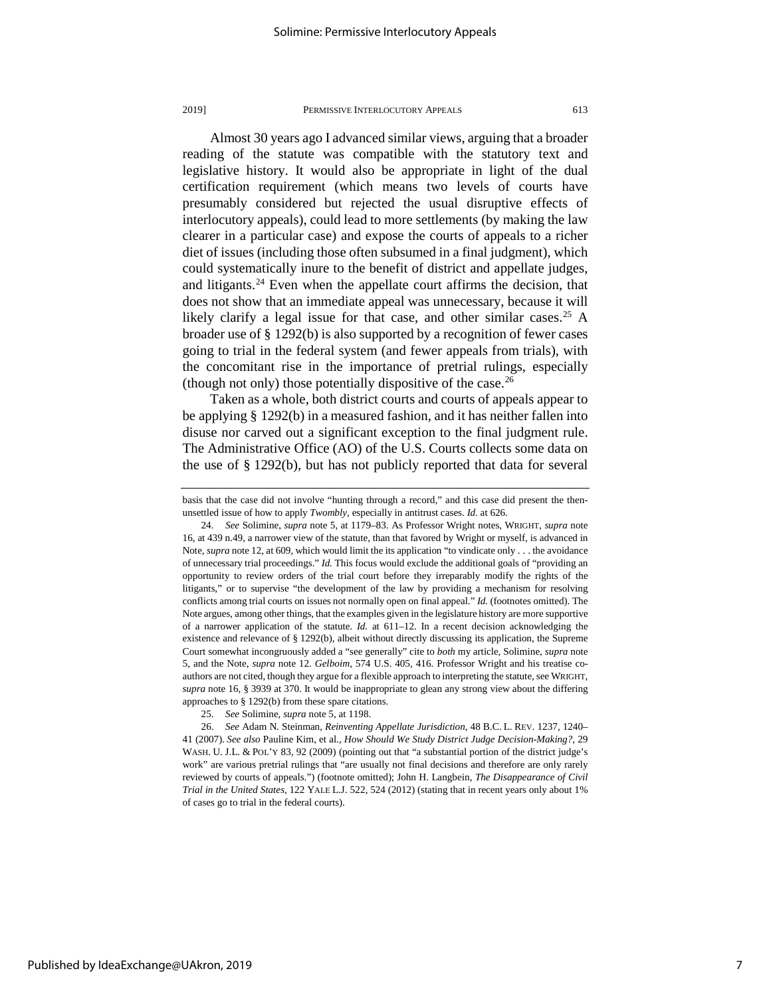Almost 30 years ago I advanced similar views, arguing that a broader reading of the statute was compatible with the statutory text and legislative history. It would also be appropriate in light of the dual certification requirement (which means two levels of courts have presumably considered but rejected the usual disruptive effects of interlocutory appeals), could lead to more settlements (by making the law clearer in a particular case) and expose the courts of appeals to a richer diet of issues (including those often subsumed in a final judgment), which could systematically inure to the benefit of district and appellate judges, and litigants. $24$  Even when the appellate court affirms the decision, that does not show that an immediate appeal was unnecessary, because it will likely clarify a legal issue for that case, and other similar cases.<sup>[25](#page-7-1)</sup> A broader use of § 1292(b) is also supported by a recognition of fewer cases going to trial in the federal system (and fewer appeals from trials), with the concomitant rise in the importance of pretrial rulings, especially (though not only) those potentially dispositive of the case.<sup>[26](#page-7-2)</sup>

Taken as a whole, both district courts and courts of appeals appear to be applying § 1292(b) in a measured fashion, and it has neither fallen into disuse nor carved out a significant exception to the final judgment rule. The Administrative Office (AO) of the U.S. Courts collects some data on the use of  $\S 1292(b)$ , but has not publicly reported that data for several

basis that the case did not involve "hunting through a record," and this case did present the thenunsettled issue of how to apply *Twombly*, especially in antitrust cases. *Id.* at 626.

<span id="page-7-0"></span><sup>24.</sup> *See* Solimine, *supra* note 5, at 1179–83. As Professor Wright notes, WRIGHT, *supra* note 16, at 439 n.49, a narrower view of the statute, than that favored by Wright or myself, is advanced in Note, *supra* note 12, at 609, which would limit the its application "to vindicate only . . . the avoidance of unnecessary trial proceedings." *Id.* This focus would exclude the additional goals of "providing an opportunity to review orders of the trial court before they irreparably modify the rights of the litigants," or to supervise "the development of the law by providing a mechanism for resolving conflicts among trial courts on issues not normally open on final appeal." *Id.* (footnotes omitted). The Note argues, among other things, that the examples given in the legislature history are more supportive of a narrower application of the statute. *Id.* at 611–12. In a recent decision acknowledging the existence and relevance of § 1292(b), albeit without directly discussing its application, the Supreme Court somewhat incongruously added a "see generally" cite to *both* my article, Solimine, *supra* note 5, and the Note, *supra* note 12. *Gelboim*, 574 U.S. 405, 416. Professor Wright and his treatise coauthors are not cited, though they argue for a flexible approach to interpreting the statute, see WRIGHT, *supra* note 16, § 3939 at 370. It would be inappropriate to glean any strong view about the differing approaches to § 1292(b) from these spare citations.

<sup>25.</sup> *See* Solimine, *supra* note 5, at 1198.

<span id="page-7-2"></span><span id="page-7-1"></span><sup>26.</sup> *See* Adam N. Steinman, *Reinventing Appellate Jurisdiction*, 48 B.C. L. REV. 1237, 1240– 41 (2007). *See also* Pauline Kim, et al., *How Should We Study District Judge Decision-Making?*, 29 WASH. U. J.L. & POL'Y 83, 92 (2009) (pointing out that "a substantial portion of the district judge's work" are various pretrial rulings that "are usually not final decisions and therefore are only rarely reviewed by courts of appeals.") (footnote omitted); John H. Langbein, *The Disappearance of Civil Trial in the United States*, 122 YALE L.J. 522, 524 (2012) (stating that in recent years only about 1% of cases go to trial in the federal courts).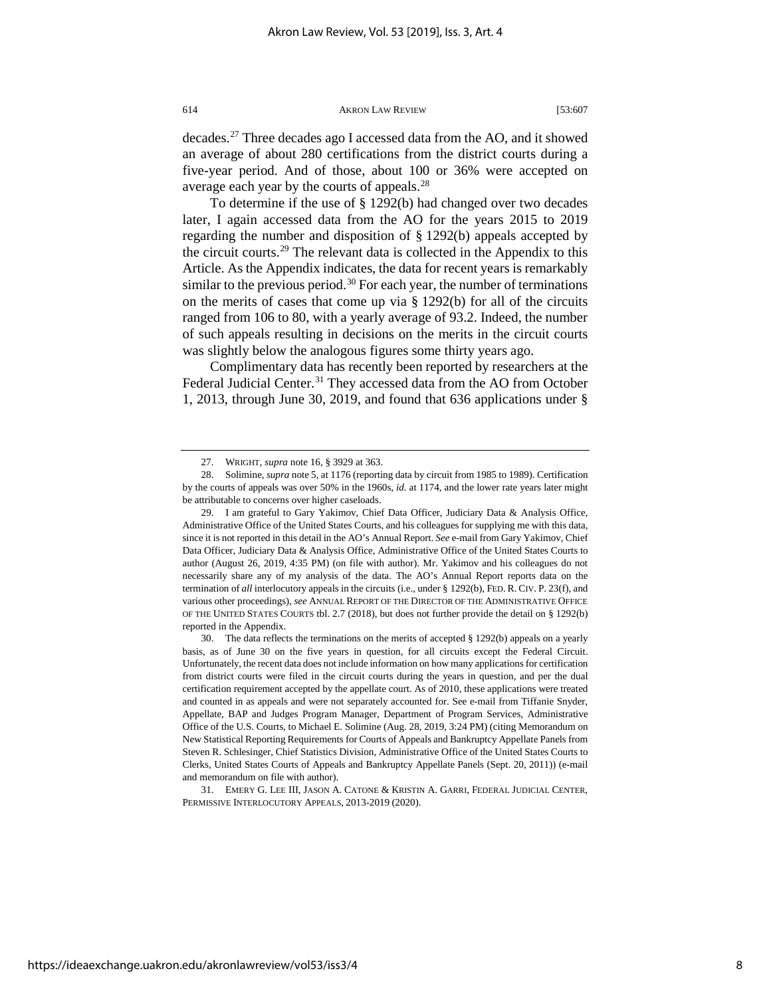8

<span id="page-8-4"></span>https://ideaexchange.uakron.edu/akronlawreview/vol53/iss3/4

decades.[27](#page-8-0) Three decades ago I accessed data from the AO, and it showed an average of about 280 certifications from the district courts during a five-year period. And of those, about 100 or 36% were accepted on average each year by the courts of appeals.[28](#page-8-1)

To determine if the use of § 1292(b) had changed over two decades later, I again accessed data from the AO for the years 2015 to 2019 regarding the number and disposition of § 1292(b) appeals accepted by the circuit courts.[29](#page-8-2) The relevant data is collected in the Appendix to this Article. As the Appendix indicates, the data for recent years is remarkably similar to the previous period.<sup>[30](#page-8-3)</sup> For each year, the number of terminations on the merits of cases that come up via § 1292(b) for all of the circuits ranged from 106 to 80, with a yearly average of 93.2. Indeed, the number of such appeals resulting in decisions on the merits in the circuit courts was slightly below the analogous figures some thirty years ago.

Complimentary data has recently been reported by researchers at the Federal Judicial Center.<sup>[31](#page-8-4)</sup> They accessed data from the AO from October 1, 2013, through June 30, 2019, and found that 636 applications under §

31. EMERY G. LEE III, JASON A. CATONE & KRISTIN A. GARRI, FEDERAL JUDICIAL CENTER, PERMISSIVE INTERLOCUTORY APPEALS, 2013-2019 (2020).

<sup>27.</sup> WRIGHT, *supra* note 16, § 3929 at 363.

<span id="page-8-1"></span><span id="page-8-0"></span><sup>28.</sup> Solimine, *supra* note 5, at 1176 (reporting data by circuit from 1985 to 1989). Certification by the courts of appeals was over 50% in the 1960s, *id.* at 1174, and the lower rate years later might be attributable to concerns over higher caseloads.

<span id="page-8-2"></span><sup>29.</sup> I am grateful to Gary Yakimov, Chief Data Officer, Judiciary Data & Analysis Office, Administrative Office of the United States Courts, and his colleagues for supplying me with this data, since it is not reported in this detail in the AO's Annual Report. *See* e-mail from Gary Yakimov, Chief Data Officer, Judiciary Data & Analysis Office, Administrative Office of the United States Courts to author (August 26, 2019, 4:35 PM) (on file with author). Mr. Yakimov and his colleagues do not necessarily share any of my analysis of the data. The AO's Annual Report reports data on the termination of *all* interlocutory appeals in the circuits (i.e., under § 1292(b), FED. R. CIV. P. 23(f), and various other proceedings), *see* ANNUAL REPORT OF THE DIRECTOR OF THE ADMINISTRATIVE OFFICE OF THE UNITED STATES COURTS tbl. 2.7 (2018), but does not further provide the detail on § 1292(b) reported in the Appendix.

<span id="page-8-3"></span><sup>30.</sup> The data reflects the terminations on the merits of accepted § 1292(b) appeals on a yearly basis, as of June 30 on the five years in question, for all circuits except the Federal Circuit. Unfortunately, the recent data does not include information on how many applications for certification from district courts were filed in the circuit courts during the years in question, and per the dual certification requirement accepted by the appellate court. As of 2010, these applications were treated and counted in as appeals and were not separately accounted for. See e-mail from Tiffanie Snyder, Appellate, BAP and Judges Program Manager, Department of Program Services, Administrative Office of the U.S. Courts, to Michael E. Solimine (Aug. 28, 2019, 3:24 PM) (citing Memorandum on New Statistical Reporting Requirements for Courts of Appeals and Bankruptcy Appellate Panels from Steven R. Schlesinger, Chief Statistics Division, Administrative Office of the United States Courts to Clerks, United States Courts of Appeals and Bankruptcy Appellate Panels (Sept. 20, 2011)) (e-mail and memorandum on file with author).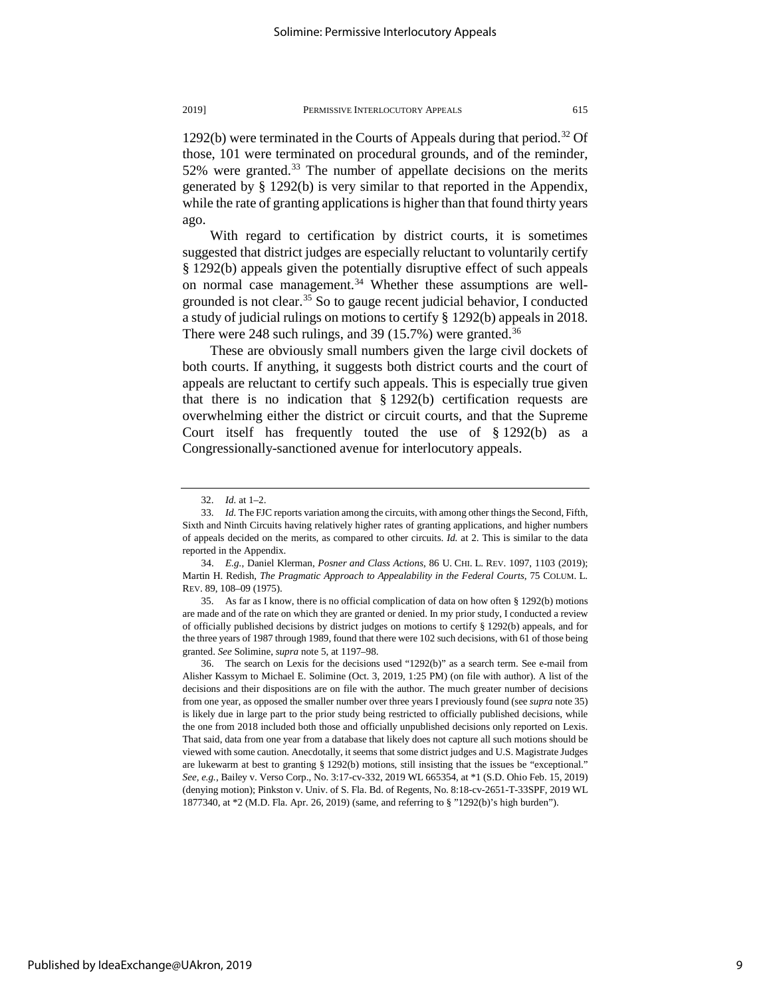1292(b) were terminated in the Courts of Appeals during that period.[32](#page-9-0) Of those, 101 were terminated on procedural grounds, and of the reminder, 52% were granted.<sup>[33](#page-9-1)</sup> The number of appellate decisions on the merits generated by § 1292(b) is very similar to that reported in the Appendix, while the rate of granting applications is higher than that found thirty years ago.

With regard to certification by district courts, it is sometimes suggested that district judges are especially reluctant to voluntarily certify § 1292(b) appeals given the potentially disruptive effect of such appeals on normal case management.<sup>[34](#page-9-2)</sup> Whether these assumptions are well-grounded is not clear.<sup>[35](#page-9-3)</sup> So to gauge recent judicial behavior, I conducted a study of judicial rulings on motions to certify § 1292(b) appeals in 2018. There were 248 such rulings, and 39 (15.7%) were granted.<sup>[36](#page-9-4)</sup>

These are obviously small numbers given the large civil dockets of both courts. If anything, it suggests both district courts and the court of appeals are reluctant to certify such appeals. This is especially true given that there is no indication that  $\S 1292(b)$  certification requests are overwhelming either the district or circuit courts, and that the Supreme Court itself has frequently touted the use of § 1292(b) as a Congressionally-sanctioned avenue for interlocutory appeals.

<sup>32.</sup> *Id.* at 1–2.

<span id="page-9-1"></span><span id="page-9-0"></span><sup>33.</sup> *Id.* The FJC reports variation among the circuits, with among other things the Second, Fifth, Sixth and Ninth Circuits having relatively higher rates of granting applications, and higher numbers of appeals decided on the merits, as compared to other circuits. *Id.* at 2. This is similar to the data reported in the Appendix.

<span id="page-9-2"></span><sup>34.</sup> *E.g.*, Daniel Klerman, *Posner and Class Actions*, 86 U. CHI. L. REV. 1097, 1103 (2019); Martin H. Redish, *The Pragmatic Approach to Appealability in the Federal Courts*, 75 COLUM. L. REV. 89, 108–09 (1975).

<span id="page-9-3"></span><sup>35.</sup> As far as I know, there is no official complication of data on how often § 1292(b) motions are made and of the rate on which they are granted or denied. In my prior study, I conducted a review of officially published decisions by district judges on motions to certify § 1292(b) appeals, and for the three years of 1987 through 1989, found that there were 102 such decisions, with 61 of those being granted. *See* Solimine, *supra* note 5, at 1197–98.

<span id="page-9-4"></span><sup>36.</sup> The search on Lexis for the decisions used "1292(b)" as a search term. See e-mail from Alisher Kassym to Michael E. Solimine (Oct. 3, 2019, 1:25 PM) (on file with author). A list of the decisions and their dispositions are on file with the author. The much greater number of decisions from one year, as opposed the smaller number over three years I previously found (see *supra* note 35) is likely due in large part to the prior study being restricted to officially published decisions, while the one from 2018 included both those and officially unpublished decisions only reported on Lexis. That said, data from one year from a database that likely does not capture all such motions should be viewed with some caution. Anecdotally, it seems that some district judges and U.S. Magistrate Judges are lukewarm at best to granting § 1292(b) motions, still insisting that the issues be "exceptional." *See, e.g.*, Bailey v. Verso Corp., No. 3:17-cv-332, 2019 WL 665354, at \*1 (S.D. Ohio Feb. 15, 2019) (denying motion); Pinkston v. Univ. of S. Fla. Bd. of Regents, No. 8:18-cv-2651-T-33SPF, 2019 WL 1877340, at \*2 (M.D. Fla. Apr. 26, 2019) (same, and referring to § "1292(b)'s high burden").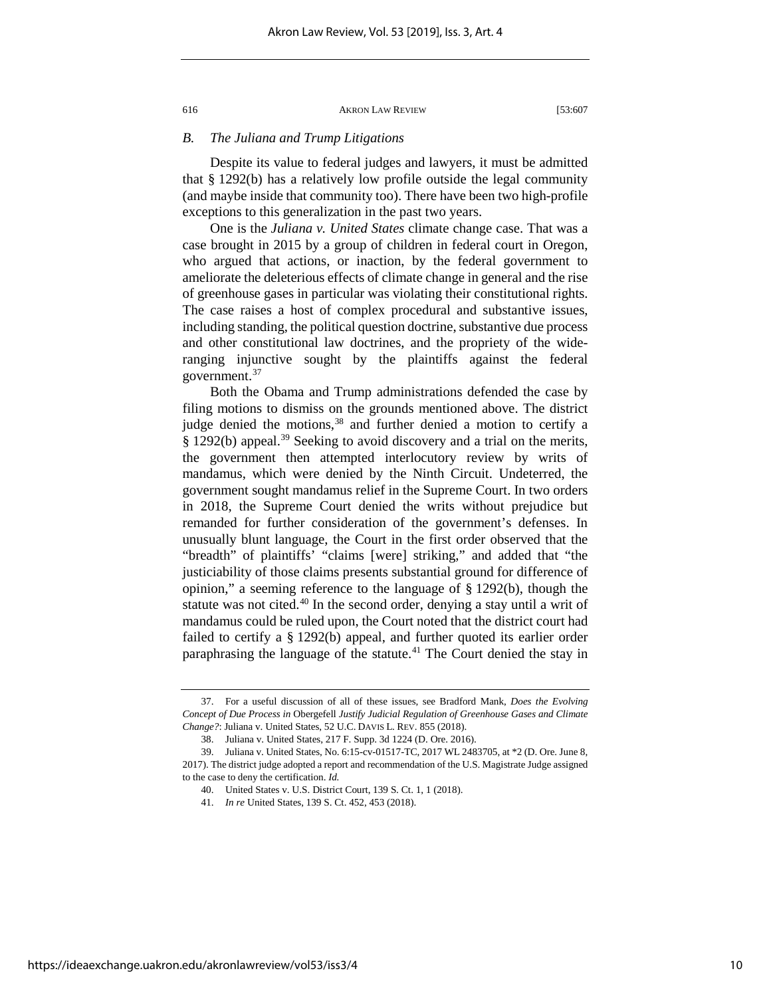# *B. The Juliana and Trump Litigations*

Despite its value to federal judges and lawyers, it must be admitted that § 1292(b) has a relatively low profile outside the legal community (and maybe inside that community too). There have been two high-profile exceptions to this generalization in the past two years.

One is the *Juliana v. United States* climate change case. That was a case brought in 2015 by a group of children in federal court in Oregon, who argued that actions, or inaction, by the federal government to ameliorate the deleterious effects of climate change in general and the rise of greenhouse gases in particular was violating their constitutional rights. The case raises a host of complex procedural and substantive issues, including standing, the political question doctrine, substantive due process and other constitutional law doctrines, and the propriety of the wideranging injunctive sought by the plaintiffs against the federal government.[37](#page-10-0)

Both the Obama and Trump administrations defended the case by filing motions to dismiss on the grounds mentioned above. The district judge denied the motions,<sup>[38](#page-10-1)</sup> and further denied a motion to certify a  $§$  1292(b) appeal.<sup>[39](#page-10-2)</sup> Seeking to avoid discovery and a trial on the merits, the government then attempted interlocutory review by writs of mandamus, which were denied by the Ninth Circuit. Undeterred, the government sought mandamus relief in the Supreme Court. In two orders in 2018, the Supreme Court denied the writs without prejudice but remanded for further consideration of the government's defenses. In unusually blunt language, the Court in the first order observed that the "breadth" of plaintiffs' "claims [were] striking," and added that "the justiciability of those claims presents substantial ground for difference of opinion," a seeming reference to the language of § 1292(b), though the statute was not cited.<sup>[40](#page-10-3)</sup> In the second order, denying a stay until a writ of mandamus could be ruled upon, the Court noted that the district court had failed to certify a § 1292(b) appeal, and further quoted its earlier order paraphrasing the language of the statute.<sup>41</sup> The Court denied the stay in

<span id="page-10-0"></span><sup>37.</sup> For a useful discussion of all of these issues, see Bradford Mank, *Does the Evolving Concept of Due Process in* Obergefell *Justify Judicial Regulation of Greenhouse Gases and Climate Change?*: Juliana v. United States, 52 U.C. DAVIS L. REV. 855 (2018).

<sup>38.</sup> Juliana v. United States, 217 F. Supp. 3d 1224 (D. Ore. 2016).

<span id="page-10-4"></span><span id="page-10-3"></span><span id="page-10-2"></span><span id="page-10-1"></span><sup>39.</sup> Juliana v. United States, No. 6:15-cv-01517-TC, 2017 WL 2483705, at \*2 (D. Ore. June 8, 2017). The district judge adopted a report and recommendation of the U.S. Magistrate Judge assigned to the case to deny the certification. *Id.*

<sup>40.</sup> United States v. U.S. District Court, 139 S. Ct. 1, 1 (2018).

<sup>41.</sup> *In re* United States, 139 S. Ct. 452, 453 (2018).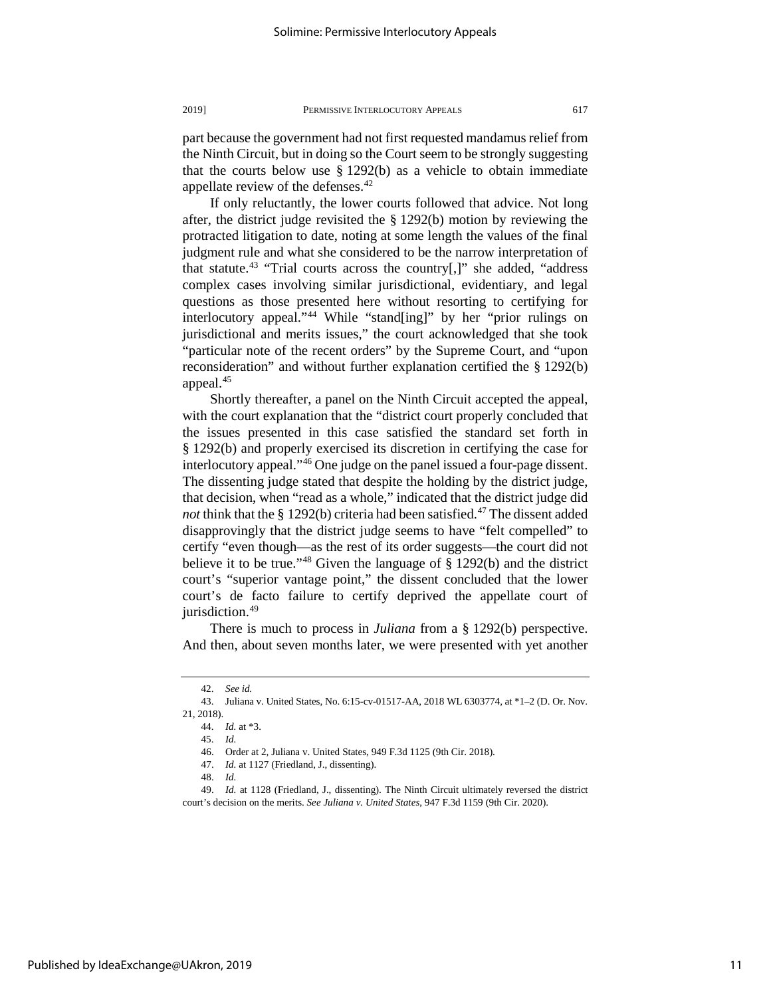part because the government had not first requested mandamus relief from the Ninth Circuit, but in doing so the Court seem to be strongly suggesting that the courts below use  $\S 1292(b)$  as a vehicle to obtain immediate appellate review of the defenses.<sup>[42](#page-11-0)</sup>

If only reluctantly, the lower courts followed that advice. Not long after, the district judge revisited the § 1292(b) motion by reviewing the protracted litigation to date, noting at some length the values of the final judgment rule and what she considered to be the narrow interpretation of that statute.<sup>[43](#page-11-1)</sup> "Trial courts across the country[,]" she added, "address complex cases involving similar jurisdictional, evidentiary, and legal questions as those presented here without resorting to certifying for interlocutory appeal."[44](#page-11-2) While "stand[ing]" by her "prior rulings on jurisdictional and merits issues," the court acknowledged that she took "particular note of the recent orders" by the Supreme Court, and "upon reconsideration" and without further explanation certified the § 1292(b) appeal.[45](#page-11-3)

Shortly thereafter, a panel on the Ninth Circuit accepted the appeal, with the court explanation that the "district court properly concluded that the issues presented in this case satisfied the standard set forth in § 1292(b) and properly exercised its discretion in certifying the case for interlocutory appeal."[46](#page-11-4) One judge on the panel issued a four-page dissent. The dissenting judge stated that despite the holding by the district judge, that decision, when "read as a whole," indicated that the district judge did *not* think that the  $\S$  1292(b) criteria had been satisfied.<sup>[47](#page-11-5)</sup> The dissent added disapprovingly that the district judge seems to have "felt compelled" to certify "even though—as the rest of its order suggests—the court did not believe it to be true."<sup>[48](#page-11-6)</sup> Given the language of  $\S$  1292(b) and the district court's "superior vantage point," the dissent concluded that the lower court's de facto failure to certify deprived the appellate court of jurisdiction.<sup>49</sup>

There is much to process in *Juliana* from a § 1292(b) perspective. And then, about seven months later, we were presented with yet another

<sup>42.</sup> *See id.*

<span id="page-11-3"></span><span id="page-11-2"></span><span id="page-11-1"></span><span id="page-11-0"></span><sup>43.</sup> Juliana v. United States, No. 6:15-cv-01517-AA, 2018 WL 6303774, at \*1–2 (D. Or. Nov. 21, 2018).

<sup>44.</sup> *Id.* at \*3.

<sup>45.</sup> *Id.*

<sup>46.</sup> Order at 2, Juliana v. United States, 949 F.3d 1125 (9th Cir. 2018).

<sup>47.</sup> *Id.* at 1127 (Friedland, J., dissenting).

<sup>48.</sup> *Id.*

<span id="page-11-7"></span><span id="page-11-6"></span><span id="page-11-5"></span><span id="page-11-4"></span><sup>49.</sup> *Id.* at 1128 (Friedland, J., dissenting). The Ninth Circuit ultimately reversed the district court's decision on the merits. *See Juliana v. United States*, 947 F.3d 1159 (9th Cir. 2020).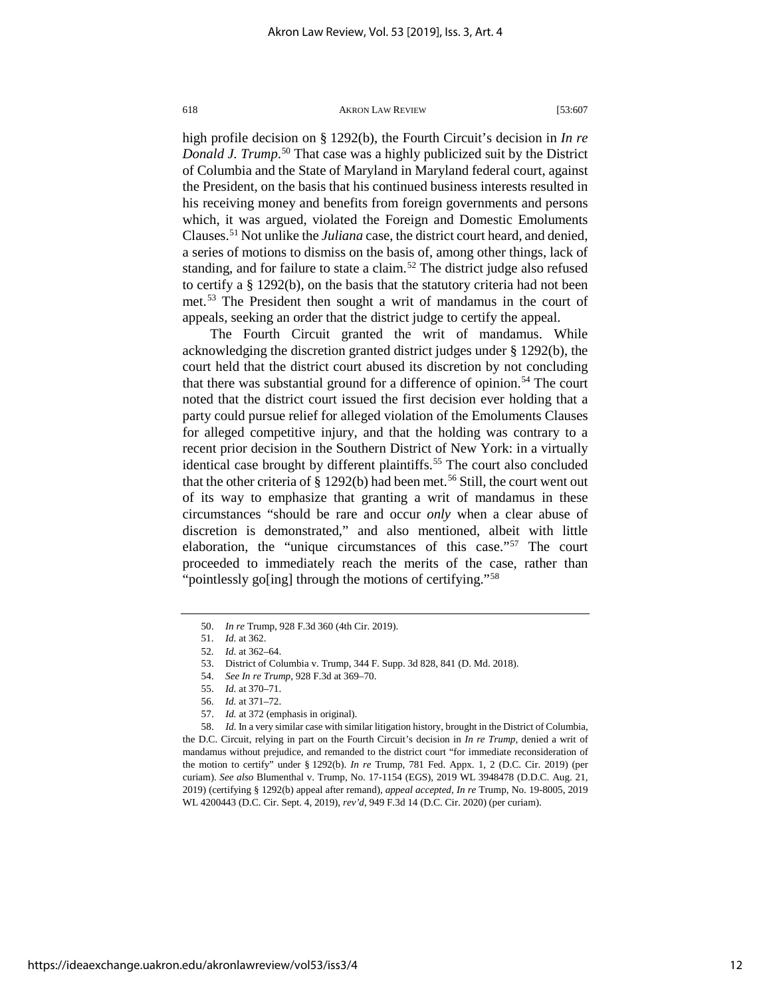high profile decision on § 1292(b), the Fourth Circuit's decision in *In re Donald J. Trump*. [50](#page-12-0) That case was a highly publicized suit by the District of Columbia and the State of Maryland in Maryland federal court, against the President, on the basis that his continued business interests resulted in his receiving money and benefits from foreign governments and persons which, it was argued, violated the Foreign and Domestic Emoluments Clauses[.51](#page-12-1) Not unlike the *Juliana* case, the district court heard, and denied, a series of motions to dismiss on the basis of, among other things, lack of standing, and for failure to state a claim.<sup>[52](#page-12-2)</sup> The district judge also refused to certify a § 1292(b), on the basis that the statutory criteria had not been met.[53](#page-12-3) The President then sought a writ of mandamus in the court of appeals, seeking an order that the district judge to certify the appeal.

The Fourth Circuit granted the writ of mandamus. While acknowledging the discretion granted district judges under § 1292(b), the court held that the district court abused its discretion by not concluding that there was substantial ground for a difference of opinion.<sup>[54](#page-12-4)</sup> The court noted that the district court issued the first decision ever holding that a party could pursue relief for alleged violation of the Emoluments Clauses for alleged competitive injury, and that the holding was contrary to a recent prior decision in the Southern District of New York: in a virtually identical case brought by different plaintiffs.<sup>[55](#page-12-5)</sup> The court also concluded that the other criteria of  $\S 1292(b)$  had been met.<sup>[56](#page-12-6)</sup> Still, the court went out of its way to emphasize that granting a writ of mandamus in these circumstances "should be rare and occur *only* when a clear abuse of discretion is demonstrated," and also mentioned, albeit with little elaboration, the "unique circumstances of this case."[57](#page-12-7) The court proceeded to immediately reach the merits of the case, rather than "pointlessly go[ing] through the motions of certifying."<sup>[58](#page-12-8)</sup>

57. *Id.* at 372 (emphasis in original).

<span id="page-12-8"></span><span id="page-12-7"></span><span id="page-12-6"></span><span id="page-12-5"></span><span id="page-12-4"></span><span id="page-12-3"></span><span id="page-12-2"></span>58. *Id.* In a very similar case with similar litigation history, brought in the District of Columbia, the D.C. Circuit, relying in part on the Fourth Circuit's decision in *In re Trump*, denied a writ of mandamus without prejudice, and remanded to the district court "for immediate reconsideration of the motion to certify" under § 1292(b). *In re* Trump, 781 Fed. Appx. 1, 2 (D.C. Cir. 2019) (per curiam). *See also* Blumenthal v. Trump, No. 17-1154 (EGS), 2019 WL 3948478 (D.D.C. Aug. 21, 2019) (certifying § 1292(b) appeal after remand), *appeal accepted*, *In re* Trump, No. 19-8005, 2019 WL 4200443 (D.C. Cir. Sept. 4, 2019), *rev'd*, 949 F.3d 14 (D.C. Cir. 2020) (per curiam).

<span id="page-12-0"></span><sup>50.</sup> *In re* Trump, 928 F.3d 360 (4th Cir. 2019).

<sup>51.</sup> *Id.* at 362.

<span id="page-12-1"></span><sup>52.</sup> *Id.* at 362–64.

<sup>53.</sup> District of Columbia v. Trump, 344 F. Supp. 3d 828, 841 (D. Md. 2018).

<sup>54.</sup> *See In re Trump*, 928 F.3d at 369–70.

<sup>55.</sup> *Id.* at 370–71.

<sup>56.</sup> *Id.* at 371–72.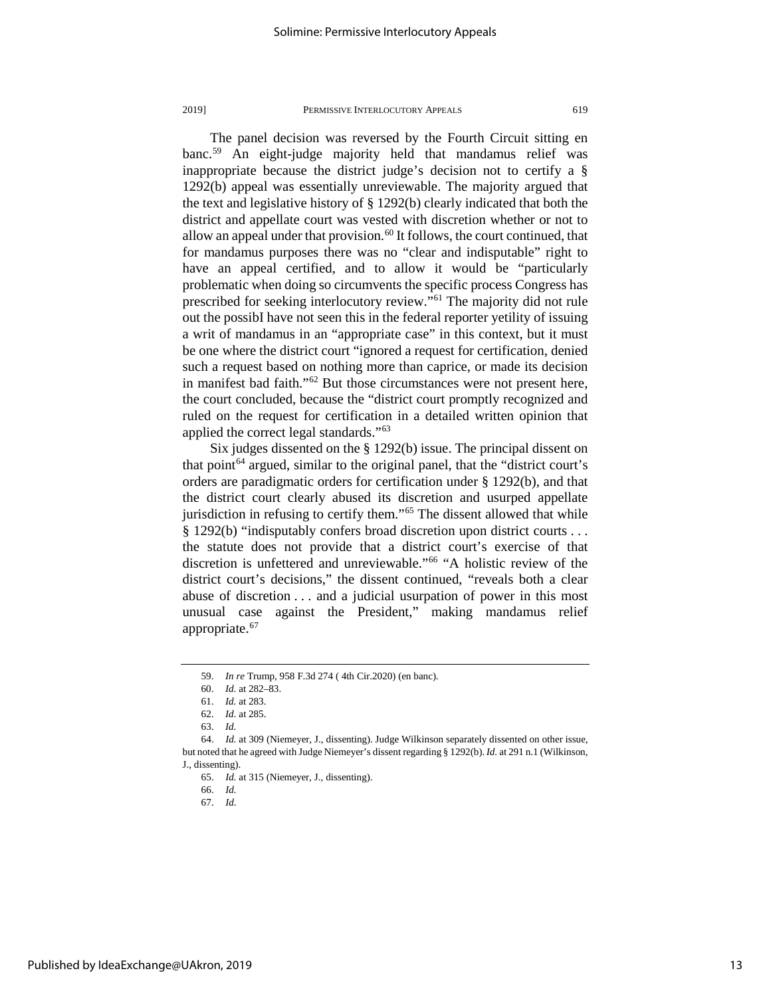The panel decision was reversed by the Fourth Circuit sitting en banc.[59](#page-13-0) An eight-judge majority held that mandamus relief was inappropriate because the district judge's decision not to certify a § 1292(b) appeal was essentially unreviewable. The majority argued that the text and legislative history of § 1292(b) clearly indicated that both the district and appellate court was vested with discretion whether or not to allow an appeal under that provision.<sup>[60](#page-13-1)</sup> It follows, the court continued, that for mandamus purposes there was no "clear and indisputable" right to have an appeal certified, and to allow it would be "particularly problematic when doing so circumvents the specific process Congress has prescribed for seeking interlocutory review."[61](#page-13-2) The majority did not rule out the possibI have not seen this in the federal reporter yetility of issuing a writ of mandamus in an "appropriate case" in this context, but it must be one where the district court "ignored a request for certification, denied such a request based on nothing more than caprice, or made its decision in manifest bad faith."[62](#page-13-3) But those circumstances were not present here, the court concluded, because the "district court promptly recognized and ruled on the request for certification in a detailed written opinion that applied the correct legal standards.["63](#page-13-4)

Six judges dissented on the § 1292(b) issue. The principal dissent on that point<sup> $64$ </sup> argued, similar to the original panel, that the "district court's orders are paradigmatic orders for certification under § 1292(b), and that the district court clearly abused its discretion and usurped appellate jurisdiction in refusing to certify them."[65](#page-13-6) The dissent allowed that while § 1292(b) "indisputably confers broad discretion upon district courts . . . the statute does not provide that a district court's exercise of that discretion is unfettered and unreviewable."[66](#page-13-7) "A holistic review of the district court's decisions," the dissent continued, "reveals both a clear abuse of discretion . . . and a judicial usurpation of power in this most unusual case against the President," making mandamus relief appropriate.<sup>[67](#page-13-8)</sup>

<sup>59.</sup> *In re* Trump, 958 F.3d 274 ( 4th Cir.2020) (en banc).

<sup>60.</sup> *Id.* at 282–83.

<sup>61.</sup> *Id.* at 283.

<sup>62.</sup> *Id.* at 285.

<sup>63.</sup> *Id.*

<span id="page-13-8"></span><span id="page-13-7"></span><span id="page-13-6"></span><span id="page-13-5"></span><span id="page-13-4"></span><span id="page-13-3"></span><span id="page-13-2"></span><span id="page-13-1"></span><span id="page-13-0"></span><sup>64.</sup> *Id.* at 309 (Niemeyer, J., dissenting). Judge Wilkinson separately dissented on other issue, but noted that he agreed with Judge Niemeyer's dissent regarding § 1292(b). *Id.* at 291 n.1 (Wilkinson, J., dissenting).

<sup>65.</sup> *Id.* at 315 (Niemeyer, J., dissenting).

<sup>66.</sup> *Id.*

<sup>67.</sup> *Id.*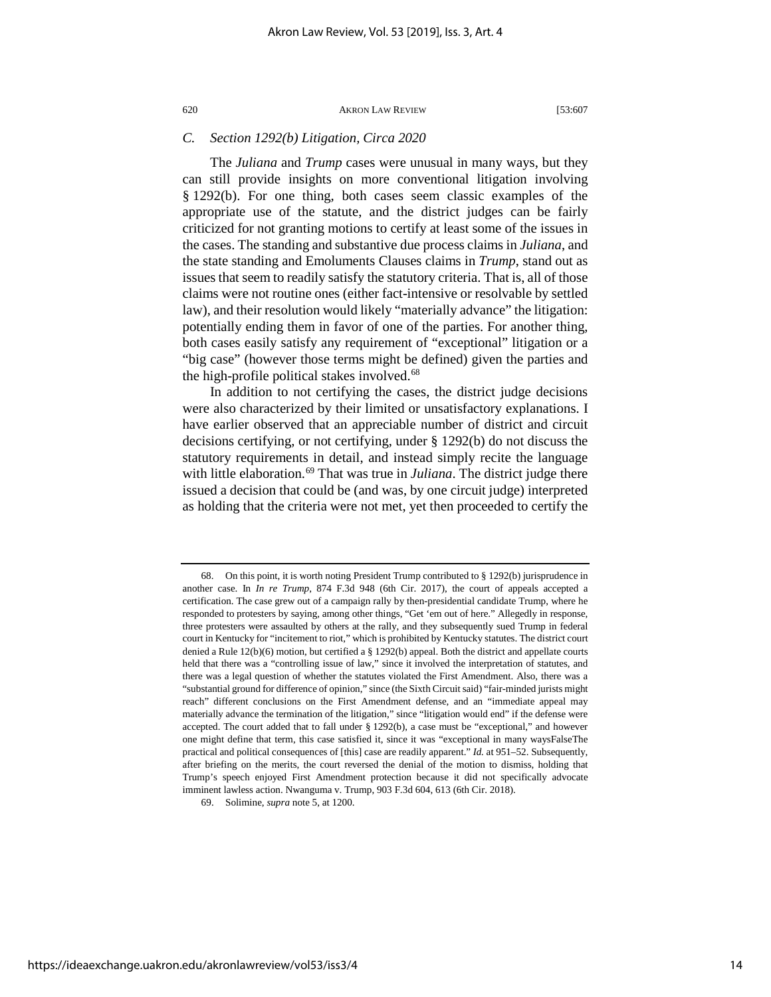# *C. Section 1292(b) Litigation, Circa 2020*

The *Juliana* and *Trump* cases were unusual in many ways, but they can still provide insights on more conventional litigation involving § 1292(b). For one thing, both cases seem classic examples of the appropriate use of the statute, and the district judges can be fairly criticized for not granting motions to certify at least some of the issues in the cases. The standing and substantive due process claims in *Juliana*, and the state standing and Emoluments Clauses claims in *Trump*, stand out as issues that seem to readily satisfy the statutory criteria. That is, all of those claims were not routine ones (either fact-intensive or resolvable by settled law), and their resolution would likely "materially advance" the litigation: potentially ending them in favor of one of the parties. For another thing, both cases easily satisfy any requirement of "exceptional" litigation or a "big case" (however those terms might be defined) given the parties and the high-profile political stakes involved.<sup>[68](#page-14-0)</sup>

In addition to not certifying the cases, the district judge decisions were also characterized by their limited or unsatisfactory explanations. I have earlier observed that an appreciable number of district and circuit decisions certifying, or not certifying, under § 1292(b) do not discuss the statutory requirements in detail, and instead simply recite the language with little elaboration.<sup>[69](#page-14-1)</sup> That was true in *Juliana*. The district judge there issued a decision that could be (and was, by one circuit judge) interpreted as holding that the criteria were not met, yet then proceeded to certify the

<span id="page-14-0"></span><sup>68.</sup> On this point, it is worth noting President Trump contributed to § 1292(b) jurisprudence in another case. In *In re Trump*, 874 F.3d 948 (6th Cir. 2017), the court of appeals accepted a certification. The case grew out of a campaign rally by then-presidential candidate Trump, where he responded to protesters by saying, among other things, "Get 'em out of here." Allegedly in response, three protesters were assaulted by others at the rally, and they subsequently sued Trump in federal court in Kentucky for "incitement to riot," which is prohibited by Kentucky statutes. The district court denied a Rule 12(b)(6) motion, but certified a § 1292(b) appeal. Both the district and appellate courts held that there was a "controlling issue of law," since it involved the interpretation of statutes, and there was a legal question of whether the statutes violated the First Amendment. Also, there was a "substantial ground for difference of opinion," since (the Sixth Circuit said) "fair-minded jurists might reach" different conclusions on the First Amendment defense, and an "immediate appeal may materially advance the termination of the litigation," since "litigation would end" if the defense were accepted. The court added that to fall under § 1292(b), a case must be "exceptional," and however one might define that term, this case satisfied it, since it was "exceptional in many waysFalseThe practical and political consequences of [this] case are readily apparent." *Id.* at 951–52. Subsequently, after briefing on the merits, the court reversed the denial of the motion to dismiss, holding that Trump's speech enjoyed First Amendment protection because it did not specifically advocate imminent lawless action. Nwanguma v. Trump, 903 F.3d 604, 613 (6th Cir. 2018).

<span id="page-14-1"></span><sup>69.</sup> Solimine, *supra* note 5, at 1200.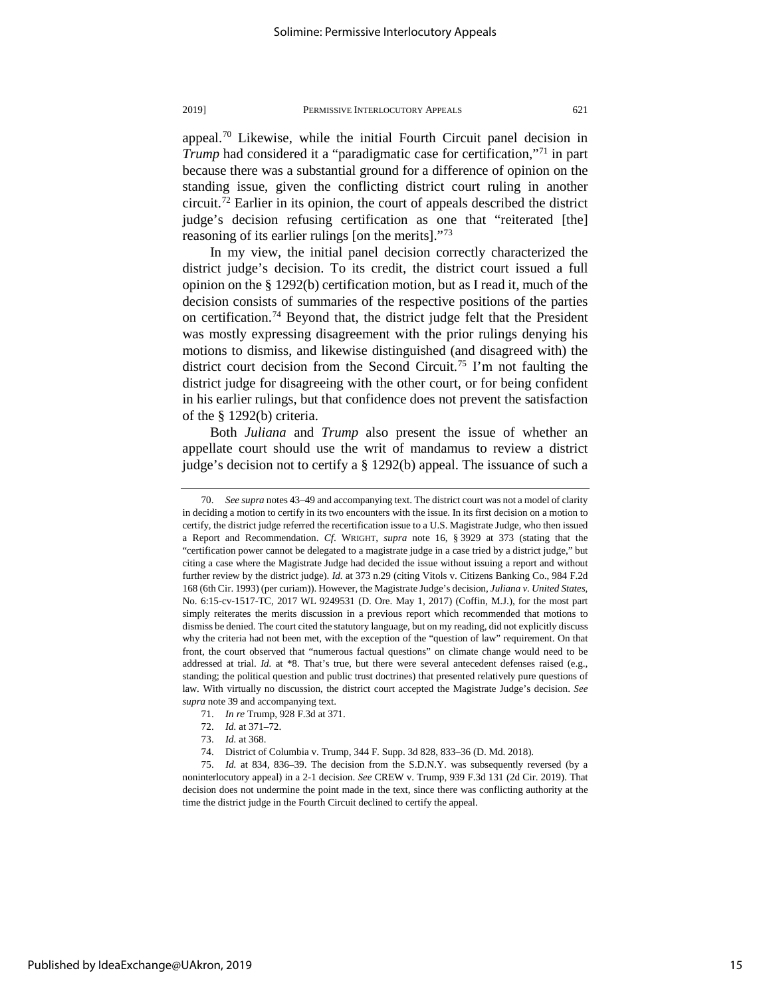appeal.[70](#page-15-0) Likewise, while the initial Fourth Circuit panel decision in *Trump* had considered it a "paradigmatic case for certification,"<sup>[71](#page-15-1)</sup> in part because there was a substantial ground for a difference of opinion on the standing issue, given the conflicting district court ruling in another circuit.[72](#page-15-2) Earlier in its opinion, the court of appeals described the district judge's decision refusing certification as one that "reiterated [the] reasoning of its earlier rulings [on the merits]."<sup>[73](#page-15-3)</sup>

In my view, the initial panel decision correctly characterized the district judge's decision. To its credit, the district court issued a full opinion on the § 1292(b) certification motion, but as I read it, much of the decision consists of summaries of the respective positions of the parties on certification.<sup>74</sup> Beyond that, the district judge felt that the President was mostly expressing disagreement with the prior rulings denying his motions to dismiss, and likewise distinguished (and disagreed with) the district court decision from the Second Circuit.<sup>[75](#page-15-5)</sup> I'm not faulting the district judge for disagreeing with the other court, or for being confident in his earlier rulings, but that confidence does not prevent the satisfaction of the § 1292(b) criteria.

Both *Juliana* and *Trump* also present the issue of whether an appellate court should use the writ of mandamus to review a district judge's decision not to certify a § 1292(b) appeal. The issuance of such a

<span id="page-15-0"></span><sup>70.</sup> *See supra* notes 43–49 and accompanying text. The district court was not a model of clarity in deciding a motion to certify in its two encounters with the issue. In its first decision on a motion to certify, the district judge referred the recertification issue to a U.S. Magistrate Judge, who then issued a Report and Recommendation. *Cf*. WRIGHT, *supra* note 16, § 3929 at 373 (stating that the "certification power cannot be delegated to a magistrate judge in a case tried by a district judge," but citing a case where the Magistrate Judge had decided the issue without issuing a report and without further review by the district judge). *Id.* at 373 n.29 (citing Vitols v. Citizens Banking Co., 984 F.2d 168 (6th Cir. 1993) (per curiam)). However, the Magistrate Judge's decision, *Juliana v. United States*, No. 6:15-cv-1517-TC, 2017 WL 9249531 (D. Ore. May 1, 2017) (Coffin, M.J.), for the most part simply reiterates the merits discussion in a previous report which recommended that motions to dismiss be denied. The court cited the statutory language, but on my reading, did not explicitly discuss why the criteria had not been met, with the exception of the "question of law" requirement. On that front, the court observed that "numerous factual questions" on climate change would need to be addressed at trial. *Id.* at \*8. That's true, but there were several antecedent defenses raised (e.g., standing; the political question and public trust doctrines) that presented relatively pure questions of law. With virtually no discussion, the district court accepted the Magistrate Judge's decision. *See supra* note 39 and accompanying text.

<sup>71.</sup> *In re* Trump, 928 F.3d at 371.

<sup>72.</sup> *Id.* at 371–72.

<sup>73.</sup> *Id.* at 368.

<sup>74.</sup> District of Columbia v. Trump, 344 F. Supp. 3d 828, 833–36 (D. Md. 2018).

<span id="page-15-5"></span><span id="page-15-4"></span><span id="page-15-3"></span><span id="page-15-2"></span><span id="page-15-1"></span><sup>75.</sup> *Id.* at 834, 836–39. The decision from the S.D.N.Y. was subsequently reversed (by a noninterlocutory appeal) in a 2-1 decision. *See* CREW v. Trump, 939 F.3d 131 (2d Cir. 2019). That decision does not undermine the point made in the text, since there was conflicting authority at the time the district judge in the Fourth Circuit declined to certify the appeal.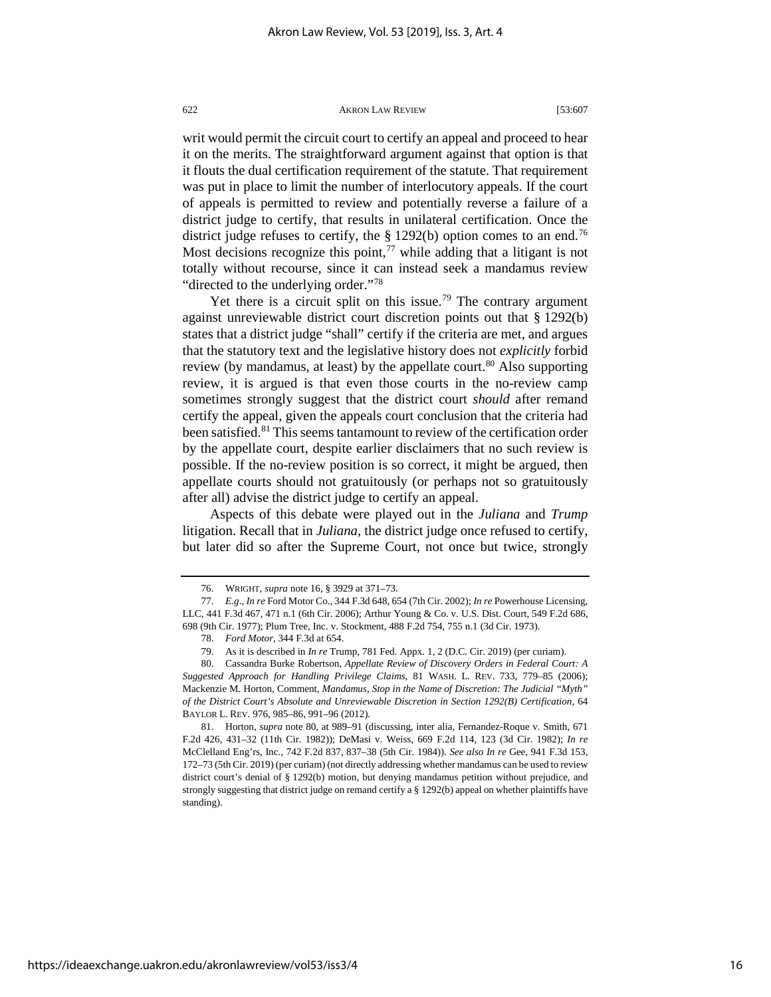writ would permit the circuit court to certify an appeal and proceed to hear it on the merits. The straightforward argument against that option is that it flouts the dual certification requirement of the statute. That requirement was put in place to limit the number of interlocutory appeals. If the court of appeals is permitted to review and potentially reverse a failure of a district judge to certify, that results in unilateral certification. Once the district judge refuses to certify, the  $\S 1292(b)$  option comes to an end.<sup>[76](#page-16-0)</sup> Most decisions recognize this point, $77$  while adding that a litigant is not totally without recourse, since it can instead seek a mandamus review "directed to the underlying order."[78](#page-16-2)

Yet there is a circuit split on this issue.<sup>[79](#page-16-3)</sup> The contrary argument against unreviewable district court discretion points out that § 1292(b) states that a district judge "shall" certify if the criteria are met, and argues that the statutory text and the legislative history does not *explicitly* forbid review (by mandamus, at least) by the appellate court.<sup>[80](#page-16-4)</sup> Also supporting review, it is argued is that even those courts in the no-review camp sometimes strongly suggest that the district court *should* after remand certify the appeal, given the appeals court conclusion that the criteria had been satisfied.<sup>[81](#page-16-5)</sup> This seems tantamount to review of the certification order by the appellate court, despite earlier disclaimers that no such review is possible. If the no-review position is so correct, it might be argued, then appellate courts should not gratuitously (or perhaps not so gratuitously after all) advise the district judge to certify an appeal.

Aspects of this debate were played out in the *Juliana* and *Trump* litigation. Recall that in *Juliana*, the district judge once refused to certify, but later did so after the Supreme Court, not once but twice, strongly

<sup>76.</sup> WRIGHT, *supra* note 16, § 3929 at 371–73.

<span id="page-16-1"></span><span id="page-16-0"></span><sup>77.</sup> *E.g*., *In re* Ford Motor Co., 344 F.3d 648, 654 (7th Cir. 2002); *In re* Powerhouse Licensing, LLC, 441 F.3d 467, 471 n.1 (6th Cir. 2006); Arthur Young & Co. v. U.S. Dist. Court, 549 F.2d 686, 698 (9th Cir. 1977); Plum Tree, Inc. v. Stockment, 488 F.2d 754, 755 n.1 (3d Cir. 1973).

<sup>78.</sup> *Ford Motor*, 344 F.3d at 654.

<sup>79.</sup> As it is described in *In re* Trump, 781 Fed. Appx. 1, 2 (D.C. Cir. 2019) (per curiam).

<span id="page-16-4"></span><span id="page-16-3"></span><span id="page-16-2"></span><sup>80.</sup> Cassandra Burke Robertson, *Appellate Review of Discovery Orders in Federal Court: A Suggested Approach for Handling Privilege Claims*, 81 WASH. L. REV. 733, 779–85 (2006); Mackenzie M. Horton, Comment, *Mandamus, Stop in the Name of Discretion: The Judicial "Myth" of the District Court's Absolute and Unreviewable Discretion in Section 1292(B) Certification*, 64 BAYLOR L. REV. 976, 985–86, 991–96 (2012).

<span id="page-16-5"></span><sup>81.</sup> Horton, *supra* note 80, at 989–91 (discussing, inter alia, Fernandez-Roque v. Smith, 671 F.2d 426, 431–32 (11th Cir. 1982)); DeMasi v. Weiss, 669 F.2d 114, 123 (3d Cir. 1982); *In re*  McClelland Eng'rs, Inc., 742 F.2d 837, 837–38 (5th Cir. 1984)). *See also In re* Gee, 941 F.3d 153, 172–73 (5th Cir. 2019) (per curiam) (not directly addressing whether mandamus can be used to review district court's denial of § 1292(b) motion, but denying mandamus petition without prejudice, and strongly suggesting that district judge on remand certify a § 1292(b) appeal on whether plaintiffs have standing).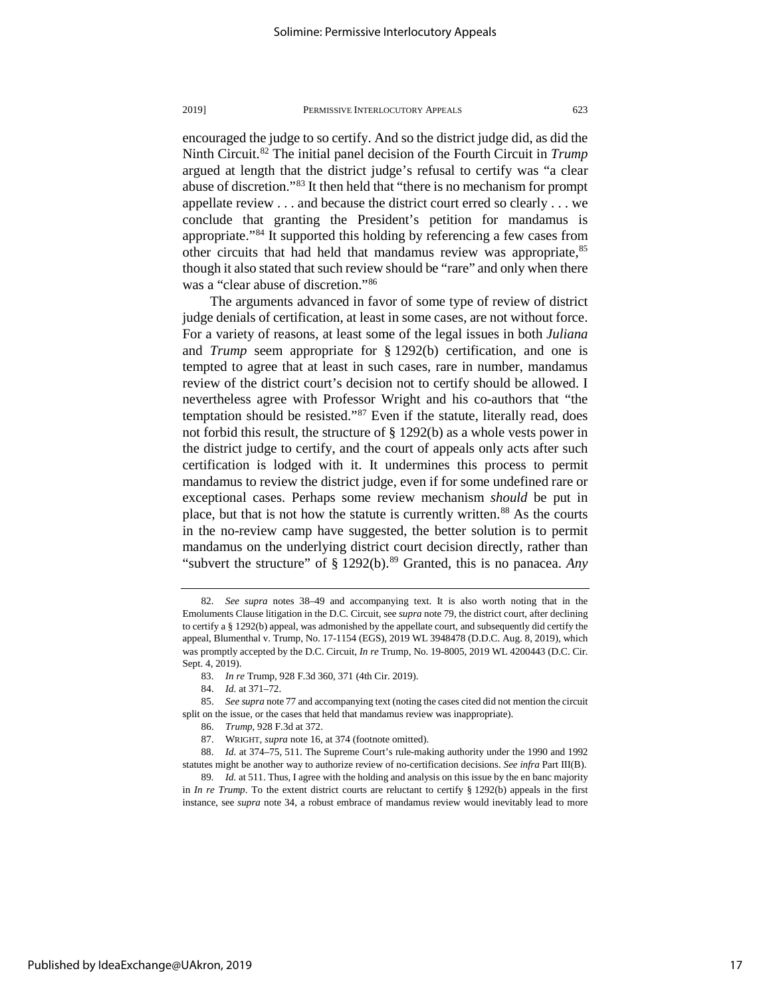encouraged the judge to so certify. And so the district judge did, as did the Ninth Circuit.<sup>[82](#page-17-0)</sup> The initial panel decision of the Fourth Circuit in *Trump* argued at length that the district judge's refusal to certify was "a clear abuse of discretion."[83](#page-17-1) It then held that "there is no mechanism for prompt appellate review . . . and because the district court erred so clearly . . . we conclude that granting the President's petition for mandamus is appropriate."[84](#page-17-2) It supported this holding by referencing a few cases from other circuits that had held that mandamus review was appropriate,<sup>[85](#page-17-3)</sup> though it also stated that such review should be "rare" and only when there was a "clear abuse of discretion."[86](#page-17-4)

The arguments advanced in favor of some type of review of district judge denials of certification, at least in some cases, are not without force. For a variety of reasons, at least some of the legal issues in both *Juliana* and *Trump* seem appropriate for § 1292(b) certification, and one is tempted to agree that at least in such cases, rare in number, mandamus review of the district court's decision not to certify should be allowed. I nevertheless agree with Professor Wright and his co-authors that "the temptation should be resisted."<sup>[87](#page-17-5)</sup> Even if the statute, literally read, does not forbid this result, the structure of § 1292(b) as a whole vests power in the district judge to certify, and the court of appeals only acts after such certification is lodged with it. It undermines this process to permit mandamus to review the district judge, even if for some undefined rare or exceptional cases. Perhaps some review mechanism *should* be put in place, but that is not how the statute is currently written.<sup>[88](#page-17-6)</sup> As the courts in the no-review camp have suggested, the better solution is to permit mandamus on the underlying district court decision directly, rather than "subvert the structure" of § 1292(b).<sup>[89](#page-17-7)</sup> Granted, this is no panacea. *Any* 

<span id="page-17-0"></span><sup>82.</sup> *See supra* notes 38–49 and accompanying text. It is also worth noting that in the Emoluments Clause litigation in the D.C. Circuit, see *supra* note 79, the district court, after declining to certify a § 1292(b) appeal, was admonished by the appellate court, and subsequently did certify the appeal, Blumenthal v. Trump, No. 17-1154 (EGS), 2019 WL 3948478 (D.D.C. Aug. 8, 2019), which was promptly accepted by the D.C. Circuit, *In re* Trump, No. 19-8005, 2019 WL 4200443 (D.C. Cir. Sept. 4, 2019).

<sup>83.</sup> *In re* Trump, 928 F.3d 360, 371 (4th Cir. 2019).

<sup>84.</sup> *Id.* at 371–72.

<span id="page-17-4"></span><span id="page-17-3"></span><span id="page-17-2"></span><span id="page-17-1"></span><sup>85.</sup> *See supra* note 77 and accompanying text (noting the cases cited did not mention the circuit split on the issue, or the cases that held that mandamus review was inappropriate).

<sup>86.</sup> *Trump*, 928 F.3d at 372.

<sup>87.</sup> WRIGHT, *supra* note 16, at 374 (footnote omitted).

<span id="page-17-6"></span><span id="page-17-5"></span><sup>88.</sup> *Id.* at 374–75, 511. The Supreme Court's rule-making authority under the 1990 and 1992 statutes might be another way to authorize review of no-certification decisions. *See infra* Part III(B).

<span id="page-17-7"></span><sup>89</sup>*. Id.* at 511. Thus, I agree with the holding and analysis on this issue by the en banc majority in *In re Trump*. To the extent district courts are reluctant to certify § 1292(b) appeals in the first instance, see *supra* note 34, a robust embrace of mandamus review would inevitably lead to more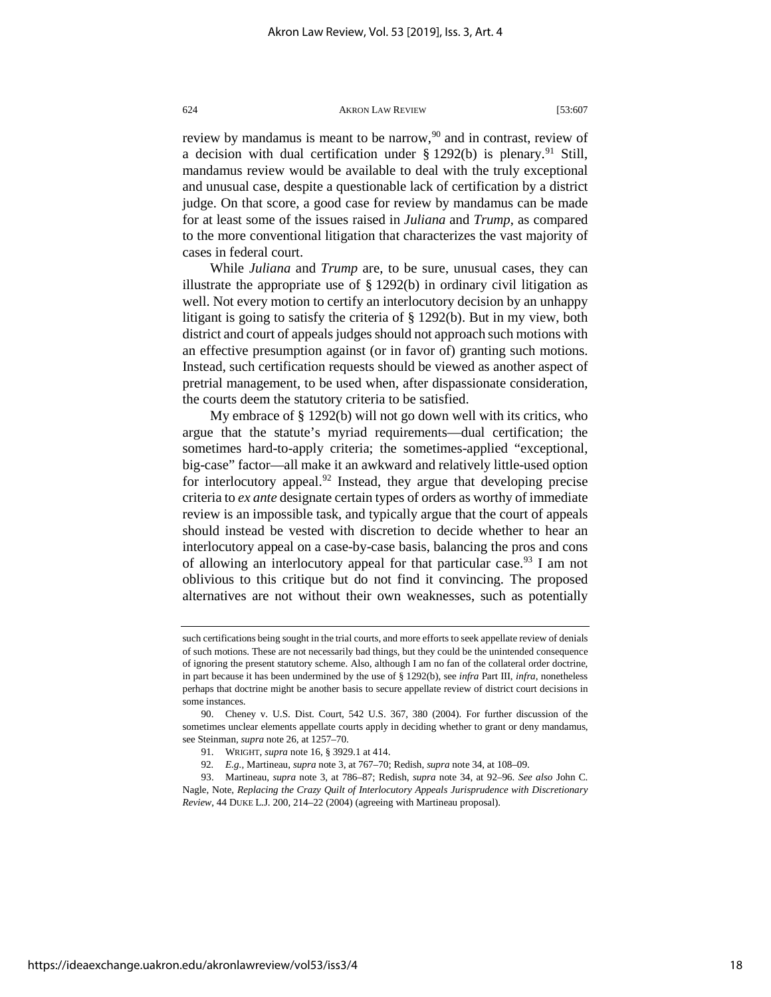review by mandamus is meant to be narrow,<sup>[90](#page-18-0)</sup> and in contrast, review of a decision with dual certification under  $\S 1292(b)$  is plenary.<sup>[91](#page-18-1)</sup> Still, mandamus review would be available to deal with the truly exceptional and unusual case, despite a questionable lack of certification by a district judge. On that score, a good case for review by mandamus can be made for at least some of the issues raised in *Juliana* and *Trump*, as compared to the more conventional litigation that characterizes the vast majority of cases in federal court.

While *Juliana* and *Trump* are, to be sure, unusual cases, they can illustrate the appropriate use of  $\S$  1292(b) in ordinary civil litigation as well. Not every motion to certify an interlocutory decision by an unhappy litigant is going to satisfy the criteria of § 1292(b). But in my view, both district and court of appeals judges should not approach such motions with an effective presumption against (or in favor of) granting such motions. Instead, such certification requests should be viewed as another aspect of pretrial management, to be used when, after dispassionate consideration, the courts deem the statutory criteria to be satisfied.

My embrace of § 1292(b) will not go down well with its critics, who argue that the statute's myriad requirements—dual certification; the sometimes hard-to-apply criteria; the sometimes-applied "exceptional, big-case" factor—all make it an awkward and relatively little-used option for interlocutory appeal.<sup>[92](#page-18-2)</sup> Instead, they argue that developing precise criteria to *ex ante* designate certain types of orders as worthy of immediate review is an impossible task, and typically argue that the court of appeals should instead be vested with discretion to decide whether to hear an interlocutory appeal on a case-by-case basis, balancing the pros and cons of allowing an interlocutory appeal for that particular case.<sup>[93](#page-18-3)</sup> I am not oblivious to this critique but do not find it convincing. The proposed alternatives are not without their own weaknesses, such as potentially

such certifications being sought in the trial courts, and more efforts to seek appellate review of denials of such motions. These are not necessarily bad things, but they could be the unintended consequence of ignoring the present statutory scheme. Also, although I am no fan of the collateral order doctrine, in part because it has been undermined by the use of § 1292(b), see *infra* Part III, *infra*, nonetheless perhaps that doctrine might be another basis to secure appellate review of district court decisions in some instances.

<span id="page-18-0"></span><sup>90.</sup> Cheney v. U.S. Dist. Court, 542 U.S. 367, 380 (2004). For further discussion of the sometimes unclear elements appellate courts apply in deciding whether to grant or deny mandamus, see Steinman, *supra* note 26, at 1257–70.

<sup>91.</sup> WRIGHT, *supra* note 16, § 3929.1 at 414.

<sup>92</sup>*. E.g.*, Martineau, *supra* note 3, at 767–70; Redish, *supra* note 34, at 108–09.

<span id="page-18-3"></span><span id="page-18-2"></span><span id="page-18-1"></span><sup>93.</sup> Martineau, *supra* note 3, at 786–87; Redish, *supra* note 34, at 92–96. *See also* John C. Nagle, Note, *Replacing the Crazy Quilt of Interlocutory Appeals Jurisprudence with Discretionary Review*, 44 DUKE L.J. 200, 214–22 (2004) (agreeing with Martineau proposal).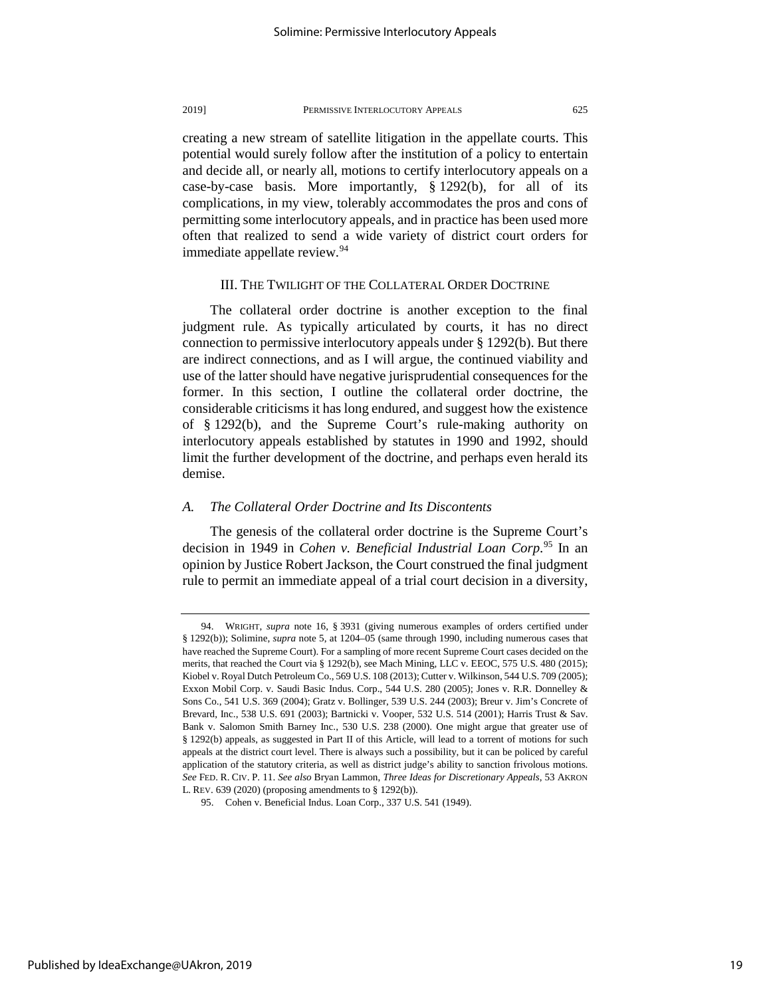creating a new stream of satellite litigation in the appellate courts. This potential would surely follow after the institution of a policy to entertain and decide all, or nearly all, motions to certify interlocutory appeals on a case-by-case basis. More importantly, § 1292(b), for all of its complications, in my view, tolerably accommodates the pros and cons of permitting some interlocutory appeals, and in practice has been used more often that realized to send a wide variety of district court orders for immediate appellate review.<sup>[94](#page-19-0)</sup>

# III. THE TWILIGHT OF THE COLLATERAL ORDER DOCTRINE

The collateral order doctrine is another exception to the final judgment rule. As typically articulated by courts, it has no direct connection to permissive interlocutory appeals under § 1292(b). But there are indirect connections, and as I will argue, the continued viability and use of the latter should have negative jurisprudential consequences for the former. In this section, I outline the collateral order doctrine, the considerable criticisms it has long endured, and suggest how the existence of § 1292(b), and the Supreme Court's rule-making authority on interlocutory appeals established by statutes in 1990 and 1992, should limit the further development of the doctrine, and perhaps even herald its demise.

# *A. The Collateral Order Doctrine and Its Discontents*

The genesis of the collateral order doctrine is the Supreme Court's decision in 1949 in *Cohen v. Beneficial Industrial Loan Corp*. [95](#page-19-1) In an opinion by Justice Robert Jackson, the Court construed the final judgment rule to permit an immediate appeal of a trial court decision in a diversity,

<span id="page-19-0"></span><sup>94.</sup> WRIGHT, *supra* note 16, § 3931 (giving numerous examples of orders certified under § 1292(b)); Solimine, *supra* note 5, at 1204–05 (same through 1990, including numerous cases that have reached the Supreme Court). For a sampling of more recent Supreme Court cases decided on the merits, that reached the Court via § 1292(b), see Mach Mining, LLC v. EEOC, 575 U.S. 480 (2015); Kiobel v. Royal Dutch Petroleum Co., 569 U.S. 108 (2013); Cutter v. Wilkinson, 544 U.S. 709 (2005); Exxon Mobil Corp. v. Saudi Basic Indus. Corp., 544 U.S. 280 (2005); Jones v. R.R. Donnelley & Sons Co., 541 U.S. 369 (2004); Gratz v. Bollinger, 539 U.S. 244 (2003); Breur v. Jim's Concrete of Brevard, Inc., 538 U.S. 691 (2003); Bartnicki v. Vooper, 532 U.S. 514 (2001); Harris Trust & Sav. Bank v. Salomon Smith Barney Inc., 530 U.S. 238 (2000). One might argue that greater use of § 1292(b) appeals, as suggested in Part II of this Article, will lead to a torrent of motions for such appeals at the district court level. There is always such a possibility, but it can be policed by careful application of the statutory criteria, as well as district judge's ability to sanction frivolous motions. *See* FED. R. CIV. P. 11. *See also* Bryan Lammon, *Three Ideas for Discretionary Appeals*, 53 AKRON L. REV. 639 (2020) (proposing amendments to § 1292(b)).

<span id="page-19-1"></span><sup>95.</sup> Cohen v. Beneficial Indus. Loan Corp., 337 U.S. 541 (1949).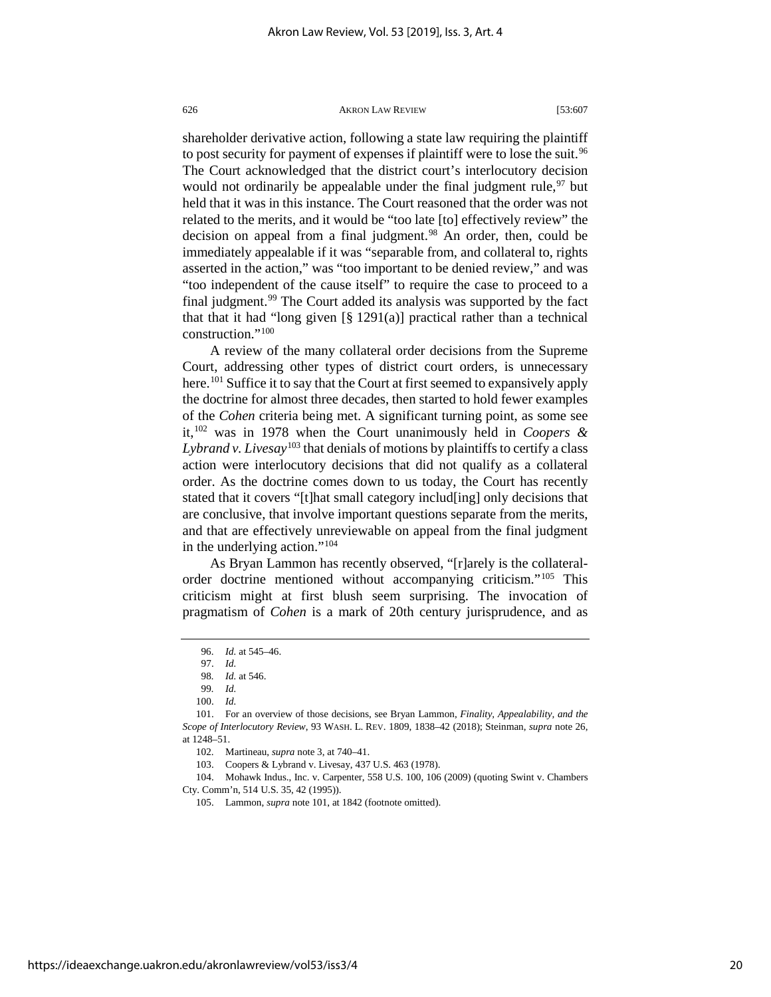shareholder derivative action, following a state law requiring the plaintiff to post security for payment of expenses if plaintiff were to lose the suit.<sup>[96](#page-20-0)</sup> The Court acknowledged that the district court's interlocutory decision would not ordinarily be appealable under the final judgment rule,<sup>[97](#page-20-1)</sup> but held that it was in this instance. The Court reasoned that the order was not related to the merits, and it would be "too late [to] effectively review" the decision on appeal from a final judgment.<sup>[98](#page-20-2)</sup> An order, then, could be immediately appealable if it was "separable from, and collateral to, rights asserted in the action," was "too important to be denied review," and was "too independent of the cause itself" to require the case to proceed to a final judgment.<sup>[99](#page-20-3)</sup> The Court added its analysis was supported by the fact that that it had "long given  $\lceil \frac{8}{9} \rceil 291(a)$ ] practical rather than a technical construction.["100](#page-20-4)

A review of the many collateral order decisions from the Supreme Court, addressing other types of district court orders, is unnecessary here.<sup>[101](#page-20-5)</sup> Suffice it to say that the Court at first seemed to expansively apply the doctrine for almost three decades, then started to hold fewer examples of the *Cohen* criteria being met. A significant turning point, as some see it,[102](#page-20-6) was in 1978 when the Court unanimously held in *Coopers & Lybrand v. Livesay*[103](#page-20-7) that denials of motions by plaintiffs to certify a class action were interlocutory decisions that did not qualify as a collateral order. As the doctrine comes down to us today, the Court has recently stated that it covers "[t]hat small category includ[ing] only decisions that are conclusive, that involve important questions separate from the merits, and that are effectively unreviewable on appeal from the final judgment in the underlying action."<sup>[104](#page-20-8)</sup>

As Bryan Lammon has recently observed, "[r]arely is the collateralorder doctrine mentioned without accompanying criticism."[105](#page-20-9) This criticism might at first blush seem surprising. The invocation of pragmatism of *Cohen* is a mark of 20th century jurisprudence, and as

<span id="page-20-9"></span><span id="page-20-8"></span><span id="page-20-7"></span><span id="page-20-6"></span>104. Mohawk Indus., Inc. v. Carpenter, 558 U.S. 100, 106 (2009) (quoting Swint v. Chambers Cty. Comm'n, 514 U.S. 35, 42 (1995)).

105. Lammon, *supra* note 101, at 1842 (footnote omitted).

<sup>96.</sup> *Id.* at 545–46.

<sup>97.</sup> *Id.*

<sup>98</sup>*. Id.* at 546.

<sup>99</sup>*. Id.*

<sup>100.</sup> *Id.*

<span id="page-20-5"></span><span id="page-20-4"></span><span id="page-20-3"></span><span id="page-20-2"></span><span id="page-20-1"></span><span id="page-20-0"></span><sup>101.</sup> For an overview of those decisions, see Bryan Lammon, *Finality, Appealability, and the Scope of Interlocutory Review*, 93 WASH. L. REV. 1809, 1838–42 (2018); Steinman, *supra* note 26, at 1248–51.

<sup>102.</sup> Martineau, *supra* note 3, at 740–41.

<sup>103.</sup> Coopers & Lybrand v. Livesay, 437 U.S. 463 (1978).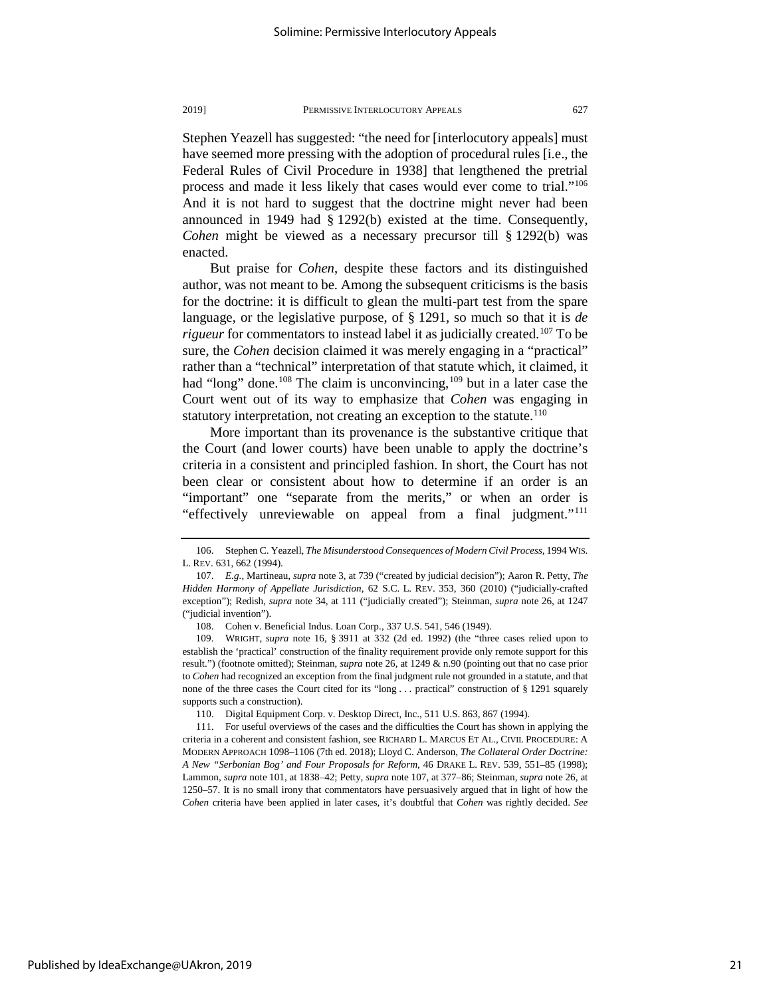Stephen Yeazell has suggested: "the need for [interlocutory appeals] must have seemed more pressing with the adoption of procedural rules [i.e., the Federal Rules of Civil Procedure in 1938] that lengthened the pretrial process and made it less likely that cases would ever come to trial.["106](#page-21-0) And it is not hard to suggest that the doctrine might never had been announced in 1949 had § 1292(b) existed at the time. Consequently, *Cohen* might be viewed as a necessary precursor till § 1292(b) was enacted.

But praise for *Cohen*, despite these factors and its distinguished author, was not meant to be. Among the subsequent criticisms is the basis for the doctrine: it is difficult to glean the multi-part test from the spare language, or the legislative purpose, of § 1291, so much so that it is *de rigueur* for commentators to instead label it as judicially created.<sup>[107](#page-21-1)</sup> To be sure, the *Cohen* decision claimed it was merely engaging in a "practical" rather than a "technical" interpretation of that statute which, it claimed, it had "long" done.<sup>108</sup> The claim is unconvincing,<sup>[109](#page-21-3)</sup> but in a later case the Court went out of its way to emphasize that *Cohen* was engaging in statutory interpretation, not creating an exception to the statute.<sup>[110](#page-21-4)</sup>

More important than its provenance is the substantive critique that the Court (and lower courts) have been unable to apply the doctrine's criteria in a consistent and principled fashion. In short, the Court has not been clear or consistent about how to determine if an order is an "important" one "separate from the merits," or when an order is "effectively unreviewable on appeal from a final judgment.["111](#page-21-5)

<span id="page-21-1"></span><span id="page-21-0"></span><sup>106.</sup> Stephen C. Yeazell, *The Misunderstood Consequences of Modern Civil Process*, 1994 WIS. L. REV. 631, 662 (1994).

<sup>107.</sup> *E.g.*, Martineau, *supra* note 3, at 739 ("created by judicial decision"); Aaron R. Petty, *The Hidden Harmony of Appellate Jurisdiction*, 62 S.C. L. REV. 353, 360 (2010) ("judicially-crafted exception"); Redish, *supra* note 34, at 111 ("judicially created"); Steinman, *supra* note 26, at 1247 ("judicial invention").

<sup>108.</sup> Cohen v. Beneficial Indus. Loan Corp., 337 U.S. 541, 546 (1949).

<span id="page-21-3"></span><span id="page-21-2"></span><sup>109.</sup> WRIGHT, *supra* note 16, § 3911 at 332 (2d ed. 1992) (the "three cases relied upon to establish the 'practical' construction of the finality requirement provide only remote support for this result.") (footnote omitted); Steinman, *supra* note 26, at 1249 & n.90 (pointing out that no case prior to *Cohen* had recognized an exception from the final judgment rule not grounded in a statute, and that none of the three cases the Court cited for its "long . . . practical" construction of § 1291 squarely supports such a construction).

<sup>110.</sup> Digital Equipment Corp. v. Desktop Direct, Inc., 511 U.S. 863, 867 (1994).

<span id="page-21-5"></span><span id="page-21-4"></span><sup>111.</sup> For useful overviews of the cases and the difficulties the Court has shown in applying the criteria in a coherent and consistent fashion, see RICHARD L. MARCUS ET AL., CIVIL PROCEDURE: A MODERN APPROACH 1098–1106 (7th ed. 2018); Lloyd C. Anderson, *The Collateral Order Doctrine: A New "Serbonian Bog' and Four Proposals for Reform*, 46 DRAKE L. REV. 539, 551–85 (1998); Lammon, *supra* note 101, at 1838–42; Petty, *supra* note 107, at 377–86; Steinman, *supra* note 26, at 1250–57. It is no small irony that commentators have persuasively argued that in light of how the *Cohen* criteria have been applied in later cases, it's doubtful that *Cohen* was rightly decided. *See*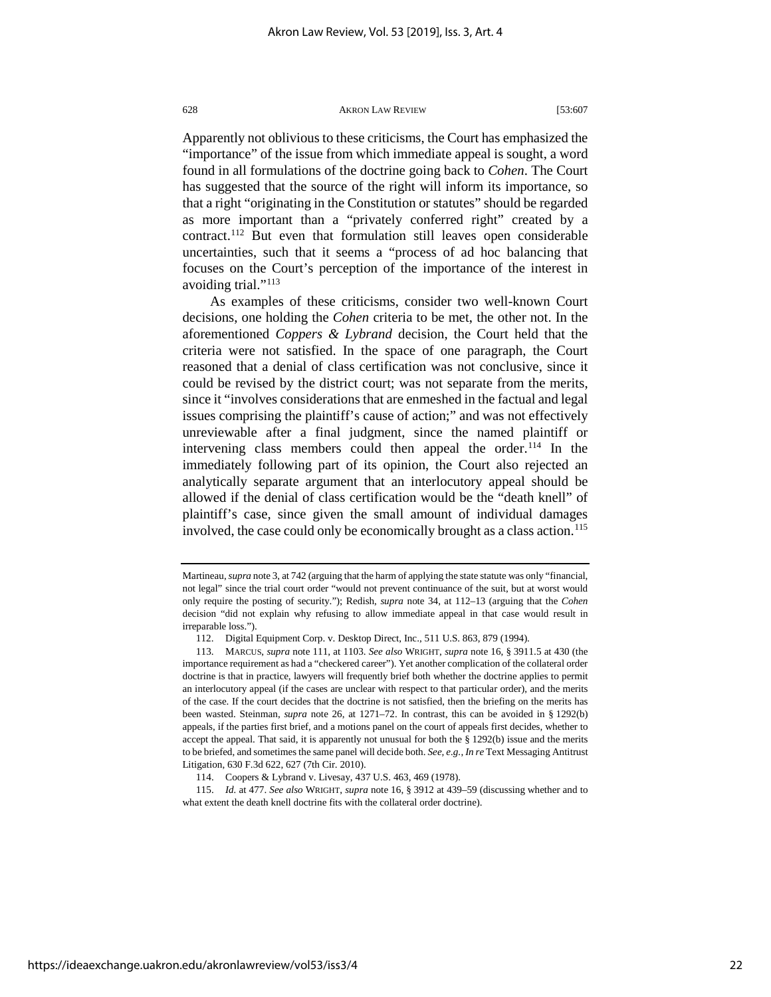Apparently not oblivious to these criticisms, the Court has emphasized the "importance" of the issue from which immediate appeal is sought, a word found in all formulations of the doctrine going back to *Cohen*. The Court has suggested that the source of the right will inform its importance, so that a right "originating in the Constitution or statutes" should be regarded as more important than a "privately conferred right" created by a contract.[112](#page-22-0) But even that formulation still leaves open considerable uncertainties, such that it seems a "process of ad hoc balancing that focuses on the Court's perception of the importance of the interest in avoiding trial."[113](#page-22-1)

As examples of these criticisms, consider two well-known Court decisions, one holding the *Cohen* criteria to be met, the other not. In the aforementioned *Coppers & Lybrand* decision, the Court held that the criteria were not satisfied. In the space of one paragraph, the Court reasoned that a denial of class certification was not conclusive, since it could be revised by the district court; was not separate from the merits, since it "involves considerations that are enmeshed in the factual and legal issues comprising the plaintiff's cause of action;" and was not effectively unreviewable after a final judgment, since the named plaintiff or intervening class members could then appeal the order.<sup>[114](#page-22-2)</sup> In the immediately following part of its opinion, the Court also rejected an analytically separate argument that an interlocutory appeal should be allowed if the denial of class certification would be the "death knell" of plaintiff's case, since given the small amount of individual damages involved, the case could only be economically brought as a class action.<sup>115</sup>

Martineau, *supra* note 3, at 742 (arguing that the harm of applying the state statute was only "financial, not legal" since the trial court order "would not prevent continuance of the suit, but at worst would only require the posting of security."); Redish, *supra* note 34, at 112–13 (arguing that the *Cohen* decision "did not explain why refusing to allow immediate appeal in that case would result in irreparable loss.").

<sup>112.</sup> Digital Equipment Corp. v. Desktop Direct, Inc., 511 U.S. 863, 879 (1994).

<span id="page-22-1"></span><span id="page-22-0"></span><sup>113.</sup> MARCUS, *supra* note 111, at 1103. *See also* WRIGHT, *supra* note 16, § 3911.5 at 430 (the importance requirement as had a "checkered career"). Yet another complication of the collateral order doctrine is that in practice, lawyers will frequently brief both whether the doctrine applies to permit an interlocutory appeal (if the cases are unclear with respect to that particular order), and the merits of the case. If the court decides that the doctrine is not satisfied, then the briefing on the merits has been wasted. Steinman, *supra* note 26, at 1271–72. In contrast, this can be avoided in § 1292(b) appeals, if the parties first brief, and a motions panel on the court of appeals first decides, whether to accept the appeal. That said, it is apparently not unusual for both the § 1292(b) issue and the merits to be briefed, and sometimes the same panel will decide both. *See, e.g.*, *In re* Text Messaging Antitrust Litigation, 630 F.3d 622, 627 (7th Cir. 2010).

<sup>114.</sup> Coopers & Lybrand v. Livesay, 437 U.S. 463, 469 (1978).

<span id="page-22-3"></span><span id="page-22-2"></span><sup>115.</sup> *Id.* at 477. *See also* WRIGHT, *supra* note 16, § 3912 at 439–59 (discussing whether and to what extent the death knell doctrine fits with the collateral order doctrine).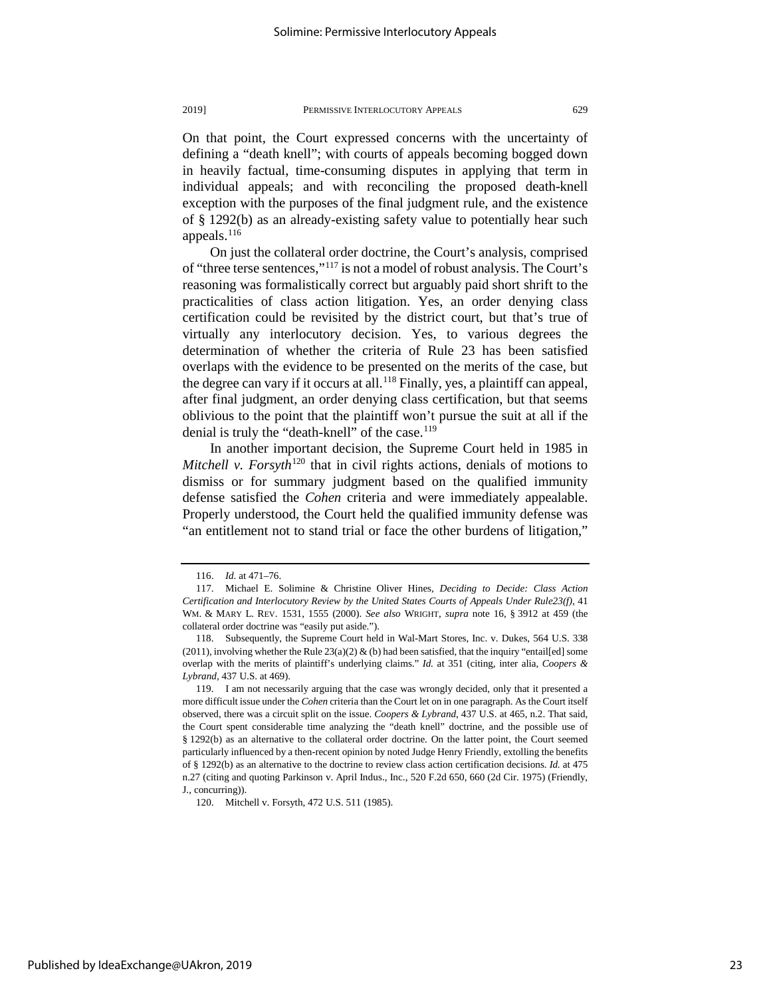individual appeals; and with reconciling the proposed death-knell exception with the purposes of the final judgment rule, and the existence of § 1292(b) as an already-existing safety value to potentially hear such appeals. $116$ 

On just the collateral order doctrine, the Court's analysis, comprised of "three terse sentences,["117](#page-23-1) is not a model of robust analysis. The Court's reasoning was formalistically correct but arguably paid short shrift to the practicalities of class action litigation. Yes, an order denying class certification could be revisited by the district court, but that's true of virtually any interlocutory decision. Yes, to various degrees the determination of whether the criteria of Rule 23 has been satisfied overlaps with the evidence to be presented on the merits of the case, but the degree can vary if it occurs at all.<sup>118</sup> Finally, yes, a plaintiff can appeal, after final judgment, an order denying class certification, but that seems oblivious to the point that the plaintiff won't pursue the suit at all if the denial is truly the "death-knell" of the case.<sup>[119](#page-23-3)</sup>

In another important decision, the Supreme Court held in 1985 in *Mitchell v. Forsyth*<sup>[120](#page-23-4)</sup> that in civil rights actions, denials of motions to dismiss or for summary judgment based on the qualified immunity defense satisfied the *Cohen* criteria and were immediately appealable. Properly understood, the Court held the qualified immunity defense was "an entitlement not to stand trial or face the other burdens of litigation,"

<span id="page-23-4"></span>Published by IdeaExchange@UAkron, 2019

<sup>116.</sup> *Id.* at 471–76.

<span id="page-23-1"></span><span id="page-23-0"></span><sup>117.</sup> Michael E. Solimine & Christine Oliver Hines, *Deciding to Decide: Class Action Certification and Interlocutory Review by the United States Courts of Appeals Under Rule23(f)*, 41 WM. & MARY L. REV. 1531, 1555 (2000). *See also* WRIGHT, *supra* note 16, § 3912 at 459 (the collateral order doctrine was "easily put aside.").

<span id="page-23-2"></span><sup>118.</sup> Subsequently, the Supreme Court held in Wal-Mart Stores, Inc. v. Dukes, 564 U.S. 338 (2011), involving whether the Rule  $23(a)(2)$  & (b) had been satisfied, that the inquiry "entail[ed] some overlap with the merits of plaintiff's underlying claims." *Id.* at 351 (citing, inter alia, *Coopers & Lybrand,* 437 U.S. at 469).

<span id="page-23-3"></span><sup>119.</sup> I am not necessarily arguing that the case was wrongly decided, only that it presented a more difficult issue under the *Cohen* criteria than the Court let on in one paragraph. As the Court itself observed, there was a circuit split on the issue. *Coopers & Lybrand*, 437 U.S. at 465, n.2. That said, the Court spent considerable time analyzing the "death knell" doctrine, and the possible use of § 1292(b) as an alternative to the collateral order doctrine. On the latter point, the Court seemed particularly influenced by a then-recent opinion by noted Judge Henry Friendly, extolling the benefits of § 1292(b) as an alternative to the doctrine to review class action certification decisions. *Id.* at 475 n.27 (citing and quoting Parkinson v. April Indus., Inc., 520 F.2d 650, 660 (2d Cir. 1975) (Friendly, J., concurring)).

<sup>120.</sup> Mitchell v. Forsyth, 472 U.S. 511 (1985).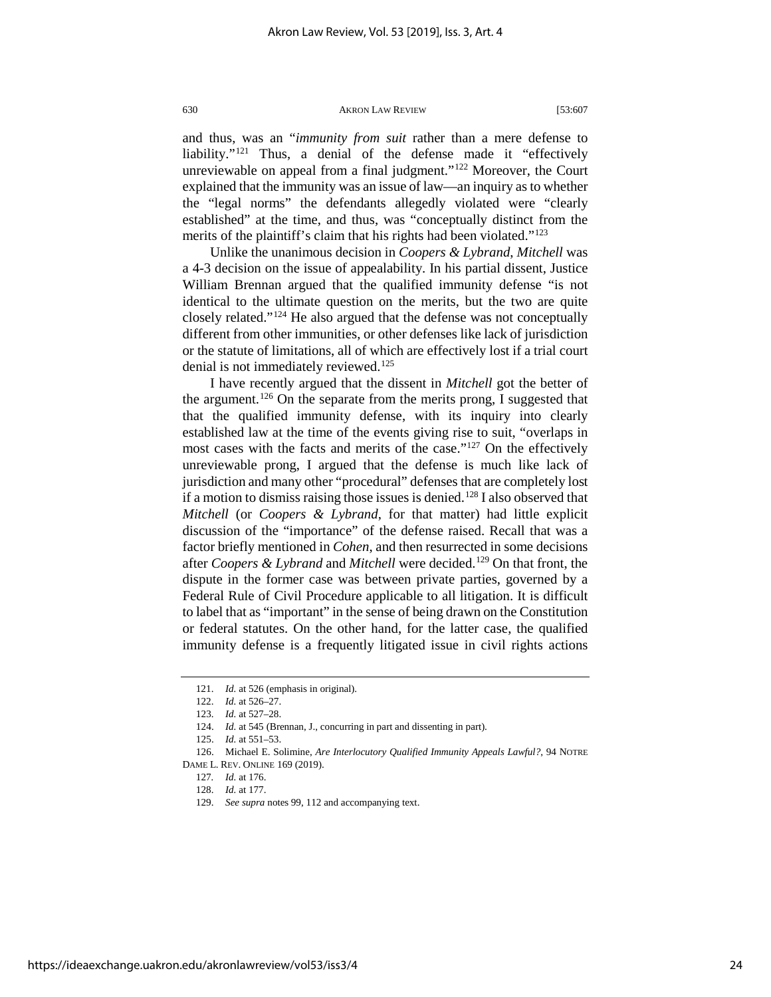and thus, was an "*immunity from suit* rather than a mere defense to liability."<sup>[121](#page-24-0)</sup> Thus, a denial of the defense made it "effectively unreviewable on appeal from a final judgment."<sup>[122](#page-24-1)</sup> Moreover, the Court explained that the immunity was an issue of law—an inquiry as to whether the "legal norms" the defendants allegedly violated were "clearly established" at the time, and thus, was "conceptually distinct from the merits of the plaintiff's claim that his rights had been violated."<sup>[123](#page-24-2)</sup>

Unlike the unanimous decision in *Coopers & Lybrand*, *Mitchell* was a 4-3 decision on the issue of appealability. In his partial dissent, Justice William Brennan argued that the qualified immunity defense "is not identical to the ultimate question on the merits, but the two are quite closely related."[124](#page-24-3) He also argued that the defense was not conceptually different from other immunities, or other defenses like lack of jurisdiction or the statute of limitations, all of which are effectively lost if a trial court denial is not immediately reviewed.<sup>[125](#page-24-4)</sup>

I have recently argued that the dissent in *Mitchell* got the better of the argument.<sup>[126](#page-24-5)</sup> On the separate from the merits prong, I suggested that that the qualified immunity defense, with its inquiry into clearly established law at the time of the events giving rise to suit, "overlaps in most cases with the facts and merits of the case."<sup>[127](#page-24-6)</sup> On the effectively unreviewable prong, I argued that the defense is much like lack of jurisdiction and many other "procedural" defenses that are completely lost if a motion to dismiss raising those issues is denied.<sup>[128](#page-24-7)</sup> I also observed that *Mitchell* (or *Coopers & Lybrand*, for that matter) had little explicit discussion of the "importance" of the defense raised. Recall that was a factor briefly mentioned in *Cohen*, and then resurrected in some decisions after *Coopers & Lybrand* and *Mitchell* were decided.<sup>[129](#page-24-8)</sup> On that front, the dispute in the former case was between private parties, governed by a Federal Rule of Civil Procedure applicable to all litigation. It is difficult to label that as "important" in the sense of being drawn on the Constitution or federal statutes. On the other hand, for the latter case, the qualified immunity defense is a frequently litigated issue in civil rights actions

<sup>121.</sup> *Id.* at 526 (emphasis in original).

<sup>122.</sup> *Id.* at 526–27.

<sup>123.</sup> *Id.* at 527–28.

<sup>124.</sup> *Id.* at 545 (Brennan, J., concurring in part and dissenting in part).

<sup>125.</sup> *Id.* at 551–53.

<span id="page-24-8"></span><span id="page-24-7"></span><span id="page-24-6"></span><span id="page-24-5"></span><span id="page-24-4"></span><span id="page-24-3"></span><span id="page-24-2"></span><span id="page-24-1"></span><span id="page-24-0"></span><sup>126.</sup> Michael E. Solimine, *Are Interlocutory Qualified Immunity Appeals Lawful?*, 94 NOTRE DAME L. REV. ONLINE 169 (2019).

<sup>127</sup>*. Id.* at 176.

<sup>128.</sup> *Id.* at 177.

<sup>129.</sup> *See supra* notes 99, 112 and accompanying text.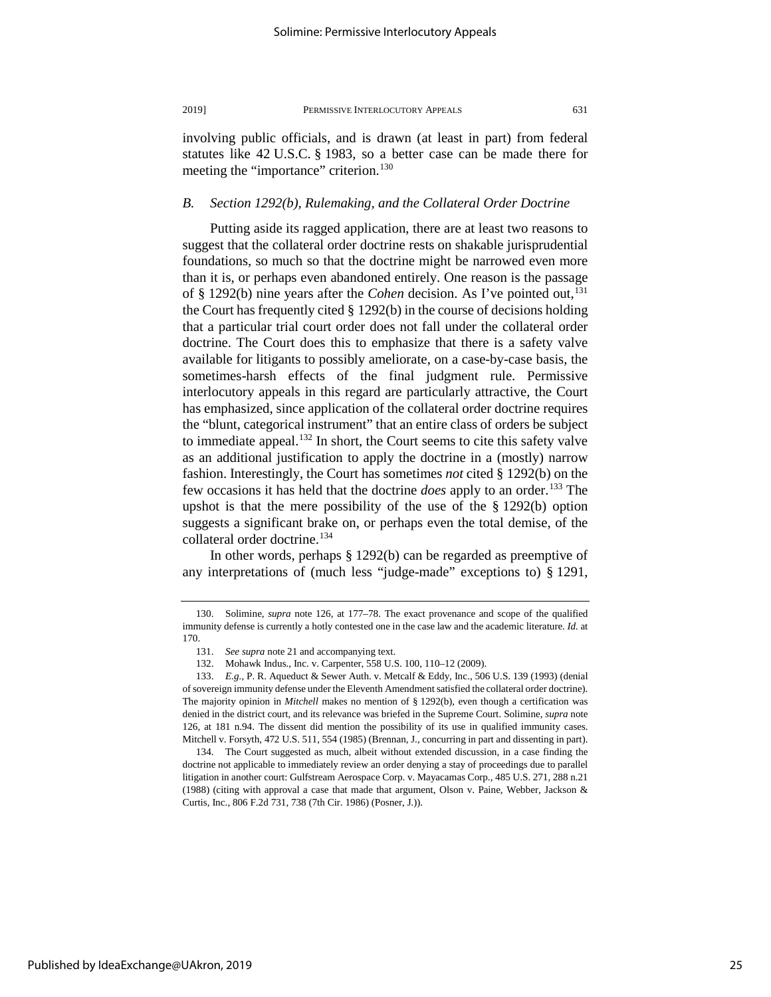involving public officials, and is drawn (at least in part) from federal statutes like 42 U.S.C. § 1983, so a better case can be made there for meeting the "importance" criterion.<sup>[130](#page-25-0)</sup>

# *B. Section 1292(b), Rulemaking, and the Collateral Order Doctrine*

Putting aside its ragged application, there are at least two reasons to suggest that the collateral order doctrine rests on shakable jurisprudential foundations, so much so that the doctrine might be narrowed even more than it is, or perhaps even abandoned entirely. One reason is the passage of § 1292(b) nine years after the *Cohen* decision. As I've pointed out,<sup>131</sup> the Court has frequently cited § 1292(b) in the course of decisions holding that a particular trial court order does not fall under the collateral order doctrine. The Court does this to emphasize that there is a safety valve available for litigants to possibly ameliorate, on a case-by-case basis, the sometimes-harsh effects of the final judgment rule. Permissive interlocutory appeals in this regard are particularly attractive, the Court has emphasized, since application of the collateral order doctrine requires the "blunt, categorical instrument" that an entire class of orders be subject to immediate appeal.<sup>[132](#page-25-2)</sup> In short, the Court seems to cite this safety valve as an additional justification to apply the doctrine in a (mostly) narrow fashion. Interestingly, the Court has sometimes *not* cited § 1292(b) on the few occasions it has held that the doctrine *does* apply to an order.[133](#page-25-3) The upshot is that the mere possibility of the use of the  $\S 1292(b)$  option suggests a significant brake on, or perhaps even the total demise, of the collateral order doctrine.<sup>[134](#page-25-4)</sup>

In other words, perhaps § 1292(b) can be regarded as preemptive of any interpretations of (much less "judge-made" exceptions to) § 1291,

<span id="page-25-0"></span><sup>130.</sup> Solimine, *supra* note 126, at 177–78. The exact provenance and scope of the qualified immunity defense is currently a hotly contested one in the case law and the academic literature. *Id.* at 170.

<sup>131.</sup> *See supra* note 21 and accompanying text.

<sup>132.</sup> Mohawk Indus., Inc. v. Carpenter, 558 U.S. 100, 110–12 (2009).

<span id="page-25-3"></span><span id="page-25-2"></span><span id="page-25-1"></span><sup>133.</sup> *E.g.*, P. R. Aqueduct & Sewer Auth. v. Metcalf & Eddy, Inc., 506 U.S. 139 (1993) (denial of sovereign immunity defense under the Eleventh Amendment satisfied the collateral order doctrine). The majority opinion in *Mitchell* makes no mention of § 1292(b), even though a certification was denied in the district court, and its relevance was briefed in the Supreme Court. Solimine, *supra* note 126, at 181 n.94. The dissent did mention the possibility of its use in qualified immunity cases. Mitchell v. Forsyth, 472 U.S. 511, 554 (1985) (Brennan, J., concurring in part and dissenting in part).

<span id="page-25-4"></span><sup>134.</sup> The Court suggested as much, albeit without extended discussion, in a case finding the doctrine not applicable to immediately review an order denying a stay of proceedings due to parallel litigation in another court: Gulfstream Aerospace Corp. v. Mayacamas Corp., 485 U.S. 271, 288 n.21 (1988) (citing with approval a case that made that argument, Olson v. Paine, Webber, Jackson & Curtis, Inc., 806 F.2d 731, 738 (7th Cir. 1986) (Posner, J.)).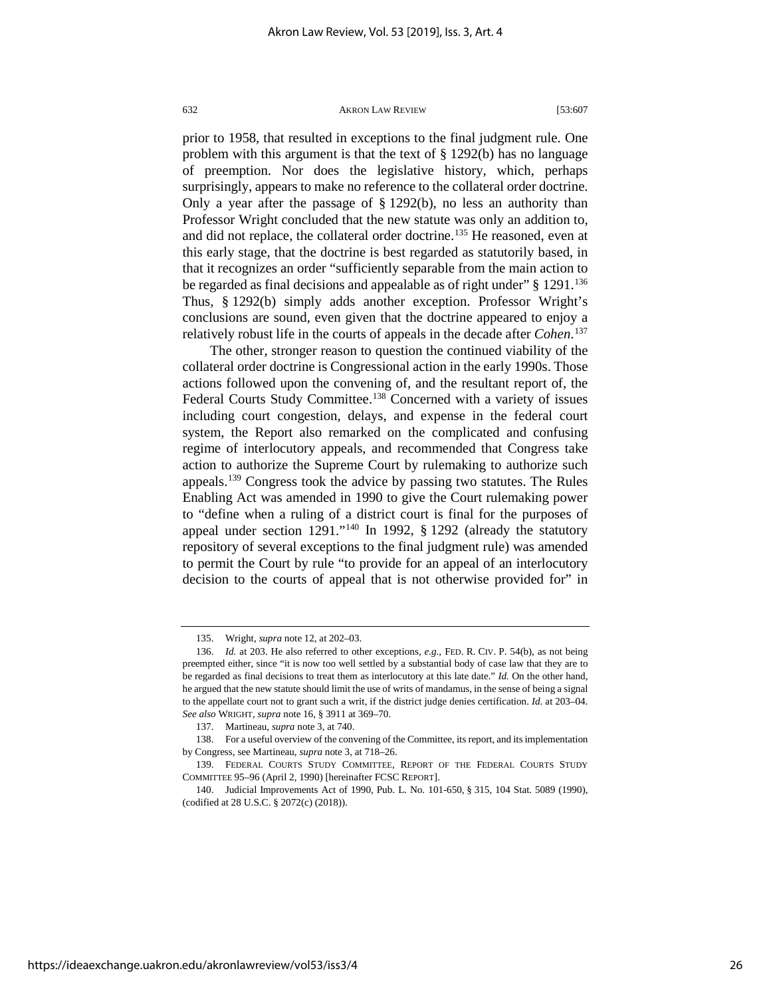prior to 1958, that resulted in exceptions to the final judgment rule. One problem with this argument is that the text of § 1292(b) has no language of preemption. Nor does the legislative history, which, perhaps surprisingly, appears to make no reference to the collateral order doctrine. Only a year after the passage of § 1292(b), no less an authority than Professor Wright concluded that the new statute was only an addition to, and did not replace, the collateral order doctrine. [135](#page-26-0) He reasoned, even at this early stage, that the doctrine is best regarded as statutorily based, in that it recognizes an order "sufficiently separable from the main action to be regarded as final decisions and appealable as of right under" § 1291.<sup>136</sup> Thus, § 1292(b) simply adds another exception. Professor Wright's conclusions are sound, even given that the doctrine appeared to enjoy a relatively robust life in the courts of appeals in the decade after *Cohen*. [137](#page-26-2)

The other, stronger reason to question the continued viability of the collateral order doctrine is Congressional action in the early 1990s. Those actions followed upon the convening of, and the resultant report of, the Federal Courts Study Committee.<sup>[138](#page-26-3)</sup> Concerned with a variety of issues including court congestion, delays, and expense in the federal court system, the Report also remarked on the complicated and confusing regime of interlocutory appeals, and recommended that Congress take action to authorize the Supreme Court by rulemaking to authorize such appeals.[139](#page-26-4) Congress took the advice by passing two statutes. The Rules Enabling Act was amended in 1990 to give the Court rulemaking power to "define when a ruling of a district court is final for the purposes of appeal under section 1291."[140](#page-26-5) In 1992, § 1292 (already the statutory repository of several exceptions to the final judgment rule) was amended to permit the Court by rule "to provide for an appeal of an interlocutory decision to the courts of appeal that is not otherwise provided for" in

<sup>135.</sup> Wright, *supra* note 12, at 202–03.

<span id="page-26-1"></span><span id="page-26-0"></span><sup>136.</sup> *Id.* at 203. He also referred to other exceptions*, e.g.*, FED. R. CIV. P. 54(b), as not being preempted either, since "it is now too well settled by a substantial body of case law that they are to be regarded as final decisions to treat them as interlocutory at this late date." *Id.* On the other hand, he argued that the new statute should limit the use of writs of mandamus, in the sense of being a signal to the appellate court not to grant such a writ, if the district judge denies certification. *Id.* at 203–04. *See also* WRIGHT, *supra* note 16, § 3911 at 369–70.

<sup>137.</sup> Martineau, *supra* note 3, at 740.

<span id="page-26-3"></span><span id="page-26-2"></span><sup>138.</sup> For a useful overview of the convening of the Committee, its report, and its implementation by Congress, see Martineau, *supra* note 3, at 718–26.

<span id="page-26-4"></span><sup>139.</sup> FEDERAL COURTS STUDY COMMITTEE, REPORT OF THE FEDERAL COURTS STUDY COMMITTEE 95–96 (April 2, 1990) [hereinafter FCSC REPORT].

<span id="page-26-5"></span><sup>140.</sup> Judicial Improvements Act of 1990, Pub. L. No. 101-650, § 315, 104 Stat. 5089 (1990), (codified at 28 U.S.C. § 2072(c) (2018)).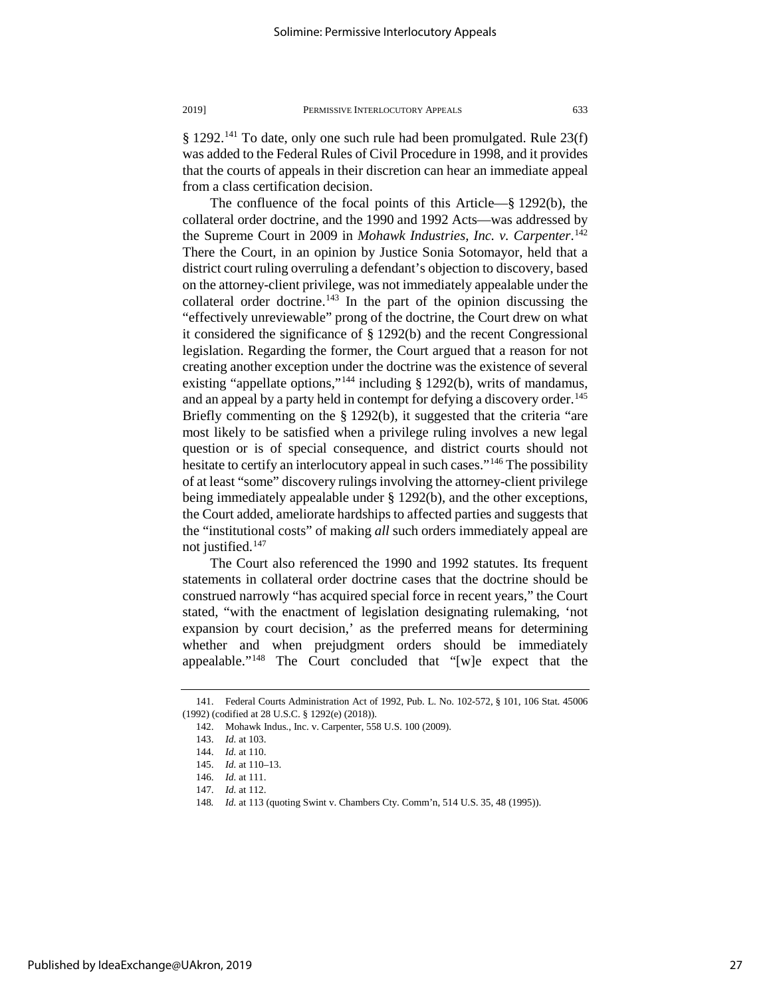§ 1292.<sup>141</sup> To date, only one such rule had been promulgated. Rule 23(f) was added to the Federal Rules of Civil Procedure in 1998, and it provides that the courts of appeals in their discretion can hear an immediate appeal from a class certification decision.

The confluence of the focal points of this Article—§ 1292(b), the collateral order doctrine, and the 1990 and 1992 Acts—was addressed by the Supreme Court in 2009 in *Mohawk Industries, Inc. v. Carpenter*. [142](#page-27-1) There the Court, in an opinion by Justice Sonia Sotomayor, held that a district court ruling overruling a defendant's objection to discovery, based on the attorney-client privilege, was not immediately appealable under the collateral order doctrine.<sup>[143](#page-27-2)</sup> In the part of the opinion discussing the "effectively unreviewable" prong of the doctrine, the Court drew on what it considered the significance of § 1292(b) and the recent Congressional legislation. Regarding the former, the Court argued that a reason for not creating another exception under the doctrine was the existence of several existing "appellate options,"<sup>[144](#page-27-3)</sup> including § 1292(b), writs of mandamus, and an appeal by a party held in contempt for defying a discovery order.<sup>145</sup> Briefly commenting on the § 1292(b), it suggested that the criteria "are most likely to be satisfied when a privilege ruling involves a new legal question or is of special consequence, and district courts should not hesitate to certify an interlocutory appeal in such cases."<sup>[146](#page-27-5)</sup> The possibility of at least "some" discovery rulings involving the attorney-client privilege being immediately appealable under § 1292(b), and the other exceptions, the Court added, ameliorate hardships to affected parties and suggests that the "institutional costs" of making *all* such orders immediately appeal are not justified.<sup>[147](#page-27-6)</sup>

The Court also referenced the 1990 and 1992 statutes. Its frequent statements in collateral order doctrine cases that the doctrine should be construed narrowly "has acquired special force in recent years," the Court stated, "with the enactment of legislation designating rulemaking, 'not expansion by court decision,' as the preferred means for determining whether and when prejudgment orders should be immediately appealable."[148](#page-27-7) The Court concluded that "[w]e expect that the

<span id="page-27-4"></span><span id="page-27-3"></span><span id="page-27-2"></span><span id="page-27-1"></span><span id="page-27-0"></span><sup>141.</sup> Federal Courts Administration Act of 1992, Pub. L. No. 102-572, § 101, 106 Stat. 45006 (1992) (codified at 28 U.S.C. § 1292(e) (2018)).

<sup>142.</sup> Mohawk Indus., Inc. v. Carpenter, 558 U.S. 100 (2009).

<sup>143.</sup> *Id.* at 103.

<sup>144.</sup> *Id.* at 110.

<sup>145.</sup> *Id.* at 110–13.

<sup>146.</sup> *Id.* at 111.

<span id="page-27-7"></span><span id="page-27-6"></span><span id="page-27-5"></span><sup>147.</sup> *Id.* at 112.

<sup>148</sup>*. Id.* at 113 (quoting Swint v. Chambers Cty. Comm'n, 514 U.S. 35, 48 (1995)).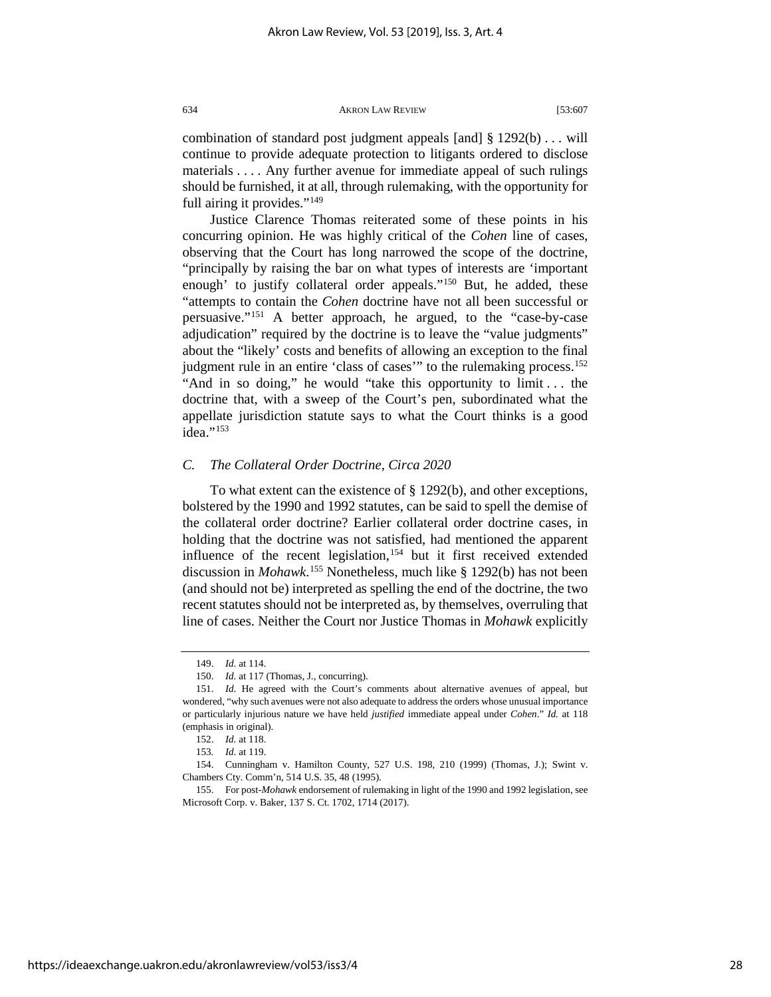combination of standard post judgment appeals [and] § 1292(b) . . . will continue to provide adequate protection to litigants ordered to disclose materials . . . . Any further avenue for immediate appeal of such rulings should be furnished, it at all, through rulemaking, with the opportunity for full airing it provides."<sup>[149](#page-28-0)</sup>

Justice Clarence Thomas reiterated some of these points in his concurring opinion. He was highly critical of the *Cohen* line of cases, observing that the Court has long narrowed the scope of the doctrine, "principally by raising the bar on what types of interests are 'important enough' to justify collateral order appeals."[150](#page-28-1) But, he added, these "attempts to contain the *Cohen* doctrine have not all been successful or persuasive."[151](#page-28-2) A better approach, he argued, to the "case-by-case adjudication" required by the doctrine is to leave the "value judgments" about the "likely' costs and benefits of allowing an exception to the final judgment rule in an entire 'class of cases'" to the rulemaking process.<sup>152</sup> "And in so doing," he would "take this opportunity to limit . . . the doctrine that, with a sweep of the Court's pen, subordinated what the appellate jurisdiction statute says to what the Court thinks is a good idea."<sup>[153](#page-28-4)</sup>

# *C. The Collateral Order Doctrine, Circa 2020*

To what extent can the existence of § 1292(b), and other exceptions, bolstered by the 1990 and 1992 statutes, can be said to spell the demise of the collateral order doctrine? Earlier collateral order doctrine cases, in holding that the doctrine was not satisfied, had mentioned the apparent influence of the recent legislation,  $154$  but it first received extended discussion in *Mohawk*. [155](#page-28-6) Nonetheless, much like § 1292(b) has not been (and should not be) interpreted as spelling the end of the doctrine, the two recent statutes should not be interpreted as, by themselves, overruling that line of cases. Neither the Court nor Justice Thomas in *Mohawk* explicitly

<sup>149.</sup> *Id.* at 114.

<sup>150.</sup> *Id.* at 117 (Thomas, J., concurring).

<span id="page-28-2"></span><span id="page-28-1"></span><span id="page-28-0"></span><sup>151.</sup> *Id.* He agreed with the Court's comments about alternative avenues of appeal, but wondered, "why such avenues were not also adequate to address the orders whose unusual importance or particularly injurious nature we have held *justified* immediate appeal under *Cohen*." *Id.* at 118 (emphasis in original).

<sup>152.</sup> *Id.* at 118.

<sup>153</sup>*. Id.* at 119.

<span id="page-28-5"></span><span id="page-28-4"></span><span id="page-28-3"></span><sup>154.</sup> Cunningham v. Hamilton County, 527 U.S. 198, 210 (1999) (Thomas, J.); Swint v. Chambers Cty. Comm'n, 514 U.S. 35, 48 (1995).

<span id="page-28-6"></span><sup>155.</sup> For post-*Mohawk* endorsement of rulemaking in light of the 1990 and 1992 legislation, see Microsoft Corp. v. Baker, 137 S. Ct. 1702, 1714 (2017).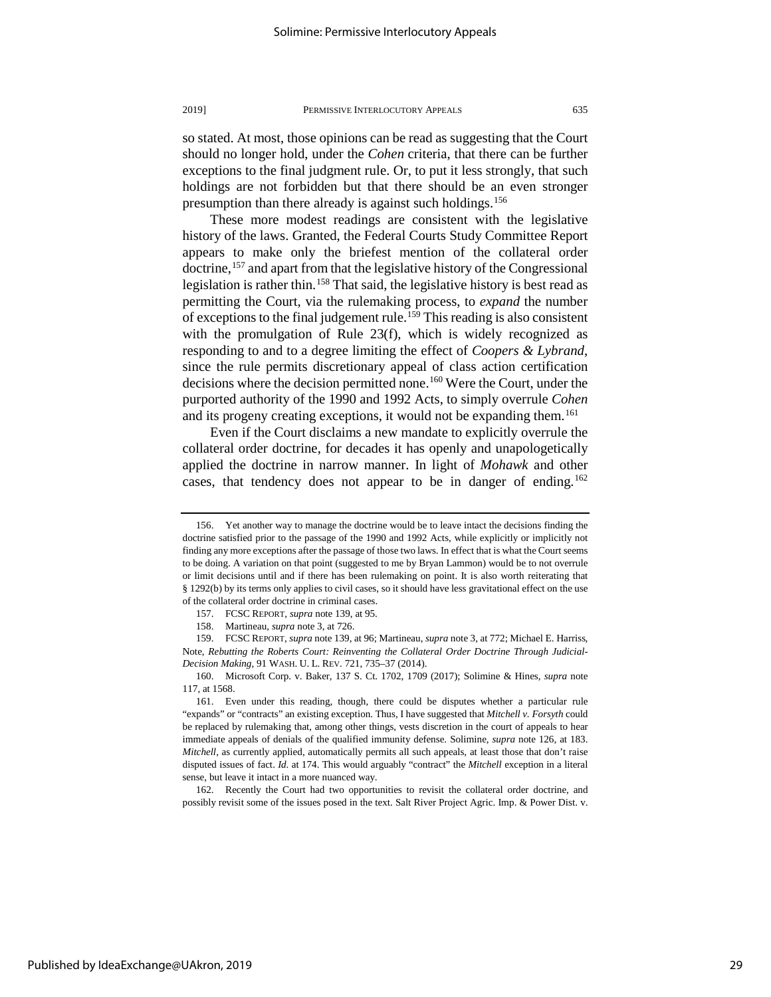so stated. At most, those opinions can be read as suggesting that the Court should no longer hold, under the *Cohen* criteria, that there can be further exceptions to the final judgment rule. Or, to put it less strongly, that such holdings are not forbidden but that there should be an even stronger presumption than there already is against such holdings.<sup>[156](#page-29-0)</sup>

These more modest readings are consistent with the legislative history of the laws. Granted, the Federal Courts Study Committee Report appears to make only the briefest mention of the collateral order doctrine,<sup>[157](#page-29-1)</sup> and apart from that the legislative history of the Congressional legislation is rather thin.<sup>[158](#page-29-2)</sup> That said, the legislative history is best read as permitting the Court, via the rulemaking process, to *expand* the number of exceptions to the final judgement rule.<sup>[159](#page-29-3)</sup> This reading is also consistent with the promulgation of Rule 23(f), which is widely recognized as responding to and to a degree limiting the effect of *Coopers & Lybrand*, since the rule permits discretionary appeal of class action certification decisions where the decision permitted none.[160](#page-29-4) Were the Court, under the purported authority of the 1990 and 1992 Acts, to simply overrule *Cohen* and its progeny creating exceptions, it would not be expanding them.<sup>[161](#page-29-5)</sup>

Even if the Court disclaims a new mandate to explicitly overrule the collateral order doctrine, for decades it has openly and unapologetically applied the doctrine in narrow manner. In light of *Mohawk* and other cases, that tendency does not appear to be in danger of ending.<sup>162</sup>

<span id="page-29-6"></span>162. Recently the Court had two opportunities to revisit the collateral order doctrine, and possibly revisit some of the issues posed in the text. Salt River Project Agric. Imp. & Power Dist. v.

<span id="page-29-0"></span><sup>156.</sup> Yet another way to manage the doctrine would be to leave intact the decisions finding the doctrine satisfied prior to the passage of the 1990 and 1992 Acts, while explicitly or implicitly not finding any more exceptions after the passage of those two laws. In effect that is what the Court seems to be doing. A variation on that point (suggested to me by Bryan Lammon) would be to not overrule or limit decisions until and if there has been rulemaking on point. It is also worth reiterating that § 1292(b) by its terms only applies to civil cases, so it should have less gravitational effect on the use of the collateral order doctrine in criminal cases.

<sup>157.</sup> FCSC REPORT, *supra* note 139, at 95.

<sup>158.</sup> Martineau, *supra* note 3, at 726.

<span id="page-29-3"></span><span id="page-29-2"></span><span id="page-29-1"></span><sup>159.</sup> FCSC REPORT, *supra* note 139, at 96; Martineau, *supra* note 3, at 772; Michael E. Harriss, Note, *Rebutting the Roberts Court: Reinventing the Collateral Order Doctrine Through Judicial-Decision Making*, 91 WASH. U. L. REV. 721, 735–37 (2014).

<span id="page-29-4"></span><sup>160.</sup> Microsoft Corp. v. Baker, 137 S. Ct. 1702, 1709 (2017); Solimine & Hines, *supra* note 117, at 1568.

<span id="page-29-5"></span><sup>161.</sup> Even under this reading, though, there could be disputes whether a particular rule "expands" or "contracts" an existing exception. Thus, I have suggested that *Mitchell v. Forsyth* could be replaced by rulemaking that, among other things, vests discretion in the court of appeals to hear immediate appeals of denials of the qualified immunity defense. Solimine, *supra* note 126, at 183. *Mitchell*, as currently applied, automatically permits all such appeals, at least those that don't raise disputed issues of fact. *Id.* at 174. This would arguably "contract" the *Mitchell* exception in a literal sense, but leave it intact in a more nuanced way.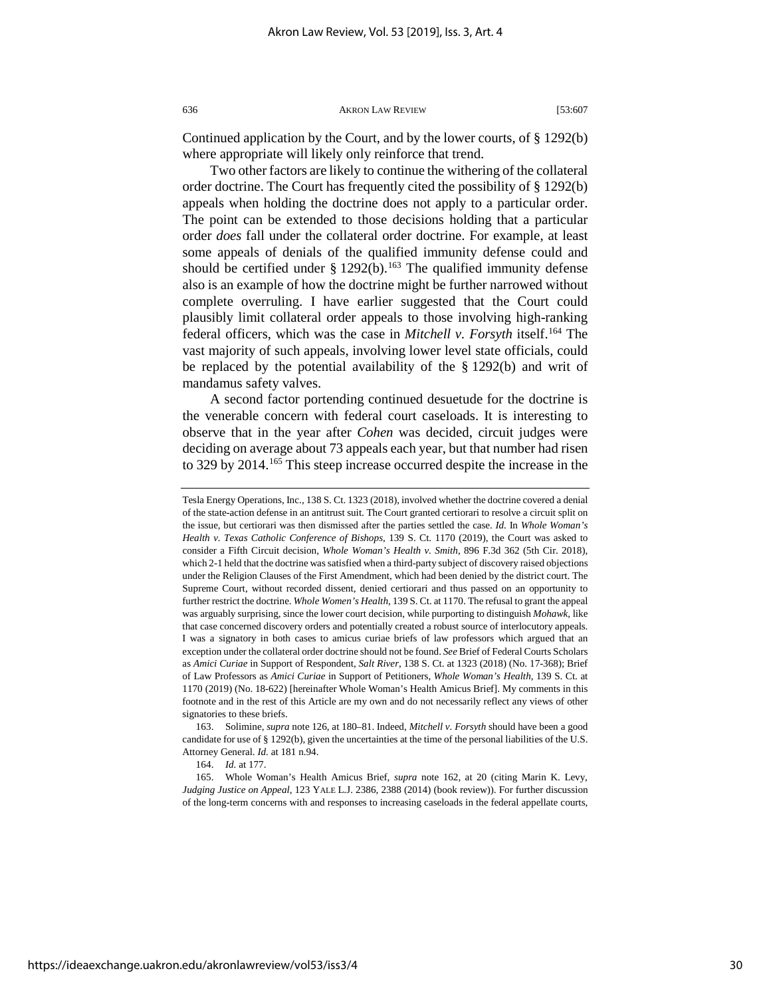Continued application by the Court, and by the lower courts, of § 1292(b) where appropriate will likely only reinforce that trend.

Two other factors are likely to continue the withering of the collateral order doctrine. The Court has frequently cited the possibility of § 1292(b) appeals when holding the doctrine does not apply to a particular order. The point can be extended to those decisions holding that a particular order *does* fall under the collateral order doctrine. For example, at least some appeals of denials of the qualified immunity defense could and should be certified under  $\S 1292(b)$ .<sup>[163](#page-30-0)</sup> The qualified immunity defense also is an example of how the doctrine might be further narrowed without complete overruling. I have earlier suggested that the Court could plausibly limit collateral order appeals to those involving high-ranking federal officers, which was the case in *Mitchell v. Forsyth* itself.[164](#page-30-1) The vast majority of such appeals, involving lower level state officials, could be replaced by the potential availability of the § 1292(b) and writ of mandamus safety valves.

A second factor portending continued desuetude for the doctrine is the venerable concern with federal court caseloads. It is interesting to observe that in the year after *Cohen* was decided, circuit judges were deciding on average about 73 appeals each year, but that number had risen to 329 by 2014.[165](#page-30-2) This steep increase occurred despite the increase in the

<span id="page-30-0"></span>163. Solimine, *supra* note 126, at 180–81. Indeed, *Mitchell v. Forsyth* should have been a good candidate for use of § 1292(b), given the uncertainties at the time of the personal liabilities of the U.S. Attorney General. *Id.* at 181 n.94.

164. *Id.* at 177.

<span id="page-30-2"></span><span id="page-30-1"></span>165. Whole Woman's Health Amicus Brief, *supra* note 162, at 20 (citing Marin K. Levy, *Judging Justice on Appeal*, 123 YALE L.J. 2386, 2388 (2014) (book review)). For further discussion of the long-term concerns with and responses to increasing caseloads in the federal appellate courts,

Tesla Energy Operations, Inc., 138 S. Ct. 1323 (2018), involved whether the doctrine covered a denial of the state-action defense in an antitrust suit. The Court granted certiorari to resolve a circuit split on the issue, but certiorari was then dismissed after the parties settled the case. *Id.* In *Whole Woman's Health v. Texas Catholic Conference of Bishops*, 139 S. Ct. 1170 (2019), the Court was asked to consider a Fifth Circuit decision, *Whole Woman's Health v. Smith*, 896 F.3d 362 (5th Cir. 2018), which 2-1 held that the doctrine was satisfied when a third-party subject of discovery raised objections under the Religion Clauses of the First Amendment, which had been denied by the district court. The Supreme Court, without recorded dissent, denied certiorari and thus passed on an opportunity to further restrict the doctrine. *Whole Women's Health*, 139 S. Ct. at 1170. The refusal to grant the appeal was arguably surprising, since the lower court decision, while purporting to distinguish *Mohawk*, like that case concerned discovery orders and potentially created a robust source of interlocutory appeals. I was a signatory in both cases to amicus curiae briefs of law professors which argued that an exception under the collateral order doctrine should not be found. *See* Brief of Federal Courts Scholars as *Amici Curiae* in Support of Respondent, *Salt River*, 138 S. Ct. at 1323 (2018) (No. 17-368); Brief of Law Professors as *Amici Curiae* in Support of Petitioners, *Whole Woman's Health*, 139 S. Ct. at 1170 (2019) (No. 18-622) [hereinafter Whole Woman's Health Amicus Brief]. My comments in this footnote and in the rest of this Article are my own and do not necessarily reflect any views of other signatories to these briefs.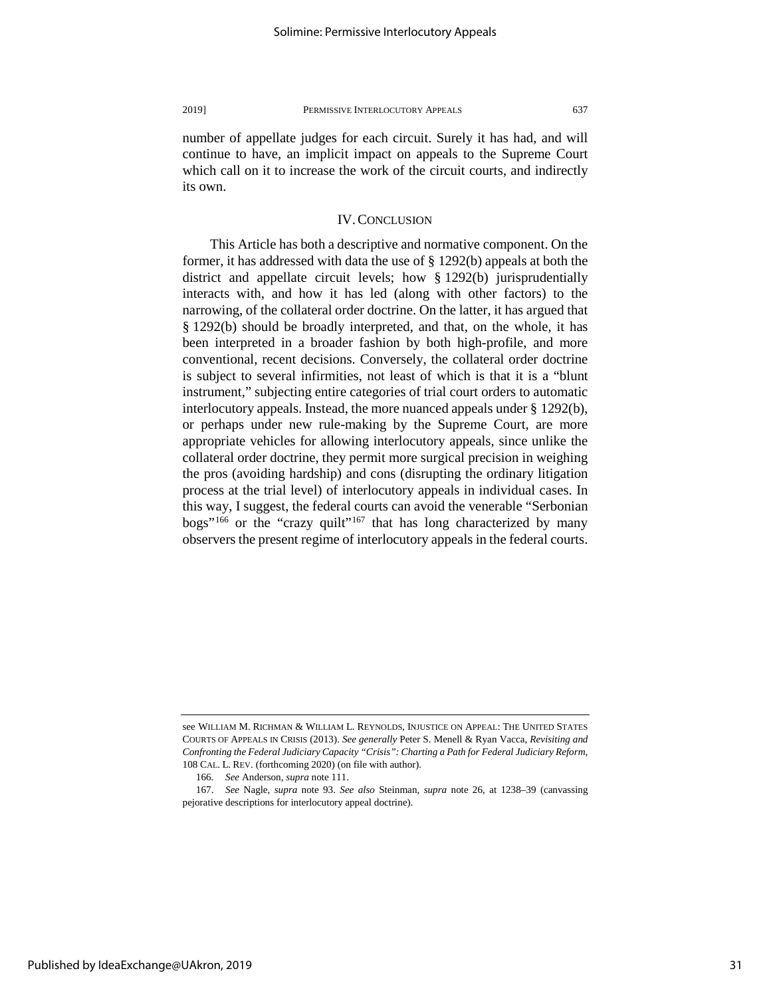number of appellate judges for each circuit. Surely it has had, and will continue to have, an implicit impact on appeals to the Supreme Court which call on it to increase the work of the circuit courts, and indirectly its own.

# IV. CONCLUSION

This Article has both a descriptive and normative component. On the former, it has addressed with data the use of § 1292(b) appeals at both the district and appellate circuit levels; how § 1292(b) jurisprudentially interacts with, and how it has led (along with other factors) to the narrowing, of the collateral order doctrine. On the latter, it has argued that § 1292(b) should be broadly interpreted, and that, on the whole, it has been interpreted in a broader fashion by both high-profile, and more conventional, recent decisions. Conversely, the collateral order doctrine is subject to several infirmities, not least of which is that it is a "blunt instrument," subjecting entire categories of trial court orders to automatic interlocutory appeals. Instead, the more nuanced appeals under § 1292(b), or perhaps under new rule-making by the Supreme Court, are more appropriate vehicles for allowing interlocutory appeals, since unlike the collateral order doctrine, they permit more surgical precision in weighing the pros (avoiding hardship) and cons (disrupting the ordinary litigation process at the trial level) of interlocutory appeals in individual cases. In this way, I suggest, the federal courts can avoid the venerable "Serbonian bogs"<sup>[166](#page-31-0)</sup> or the "crazy quilt"<sup>[167](#page-31-1)</sup> that has long characterized by many observers the present regime of interlocutory appeals in the federal courts.

see WILLIAM M. RICHMAN & WILLIAM L. REYNOLDS, INJUSTICE ON APPEAL: THE UNITED STATES COURTS OF APPEALS IN CRISIS (2013). *See generally* Peter S. Menell & Ryan Vacca, *Revisiting and Confronting the Federal Judiciary Capacity "Crisis": Charting a Path for Federal Judiciary Reform*, 108 CAL. L. REV. (forthcoming 2020) (on file with author).

<sup>166</sup>*. See* Anderson, *supra* note 111.

<span id="page-31-1"></span><span id="page-31-0"></span><sup>167.</sup> *See* Nagle, *supra* note 93. *See also* Steinman, *supra* note 26, at 1238–39 (canvassing pejorative descriptions for interlocutory appeal doctrine).